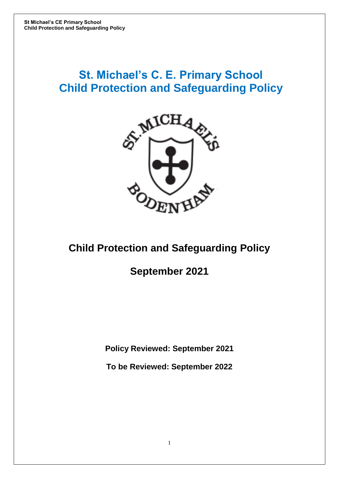# **St. Michael's C. E. Primary School Child Protection and Safeguarding Policy**



# **Child Protection and Safeguarding Policy**

# **September 2021**

**Policy Reviewed: September 2021**

**To be Reviewed: September 2022**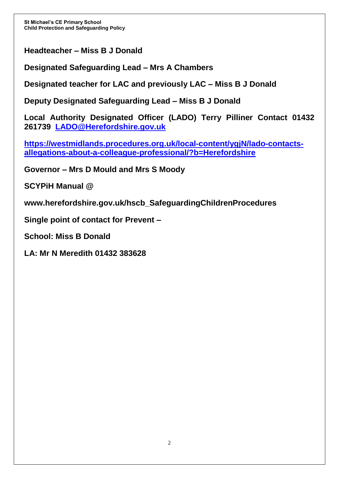**Headteacher – Miss B J Donald**

**Designated Safeguarding Lead – Mrs A Chambers**

**Designated teacher for LAC and previously LAC – Miss B J Donald**

**Deputy Designated Safeguarding Lead – Miss B J Donald**

**Local Authority Designated Officer (LADO) Terry Pilliner Contact 01432 261739 [LADO@Herefordshire.gov.uk](mailto:LADO@Herefordshire.gov.uk)**

**[https://westmidlands.procedures.org.uk/local-content/ygjN/lado-contacts](https://westmidlands.procedures.org.uk/local-content/ygjN/lado-contacts-allegations-about-a-colleague-professional/?b=Herefordshire)[allegations-about-a-colleague-professional/?b=Herefordshire](https://westmidlands.procedures.org.uk/local-content/ygjN/lado-contacts-allegations-about-a-colleague-professional/?b=Herefordshire)**

**Governor – Mrs D Mould and Mrs S Moody**

**SCYPiH Manual @** 

**[www.herefordshire.gov.uk/hscb\\_SafeguardingChildrenProcedures](http://www.herefordshire.gov.uk/hscb_SafeguardingChildrenProcedures)**

**Single point of contact for Prevent –**

**School: Miss B Donald** 

**LA: Mr N Meredith 01432 383628**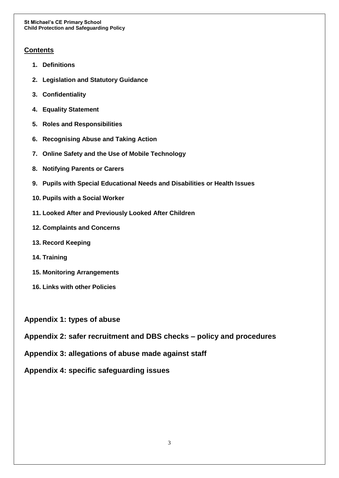### **Contents**

- **1. Definitions**
- **2. Legislation and Statutory Guidance**
- **3. Confidentiality**
- **4. Equality Statement**
- **5. Roles and Responsibilities**
- **6. Recognising Abuse and Taking Action**
- **7. Online Safety and the Use of Mobile Technology**
- **8. Notifying Parents or Carers**
- **9. Pupils with Special Educational Needs and Disabilities or Health Issues**
- **10. Pupils with a Social Worker**
- **11. Looked After and Previously Looked After Children**
- **12. Complaints and Concerns**
- **13. Record Keeping**
- **14. Training**
- **15. Monitoring Arrangements**
- **16. Links with other Policies**
- **Appendix 1: types of abuse**
- **Appendix 2: safer recruitment and DBS checks – policy and procedures**
- **Appendix 3: allegations of abuse made against staff**
- **Appendix 4: specific safeguarding issues**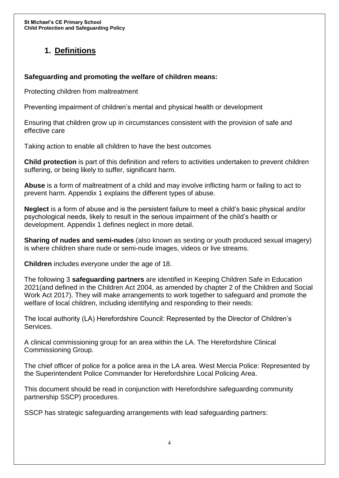# **1. Definitions**

## **Safeguarding and promoting the welfare of children means:**

Protecting children from maltreatment

Preventing impairment of children's mental and physical health or development

Ensuring that children grow up in circumstances consistent with the provision of safe and effective care

Taking action to enable all children to have the best outcomes

**Child protection** is part of this definition and refers to activities undertaken to prevent children suffering, or being likely to suffer, significant harm.

**Abuse** is a form of maltreatment of a child and may involve inflicting harm or failing to act to prevent harm. Appendix 1 explains the different types of abuse.

**Neglect** is a form of abuse and is the persistent failure to meet a child's basic physical and/or psychological needs, likely to result in the serious impairment of the child's health or development. Appendix 1 defines neglect in more detail.

**Sharing of nudes and semi-nudes** (also known as sexting or youth produced sexual imagery) is where children share nude or semi-nude images, videos or live streams.

**Children** includes everyone under the age of 18.

The following 3 **safeguarding partners** are identified in Keeping Children Safe in Education 2021(and defined in the Children Act 2004, as amended by chapter 2 of the Children and Social Work Act 2017). They will make arrangements to work together to safeguard and promote the welfare of local children, including identifying and responding to their needs:

The local authority (LA) Herefordshire Council: Represented by the Director of Children's Services.

A clinical commissioning group for an area within the LA. The Herefordshire Clinical Commissioning Group.

The chief officer of police for a police area in the LA area. West Mercia Police: Represented by the Superintendent Police Commander for Herefordshire Local Policing Area.

This document should be read in conjunction with Herefordshire safeguarding community partnership SSCP) procedures.

SSCP has strategic safeguarding arrangements with lead safeguarding partners: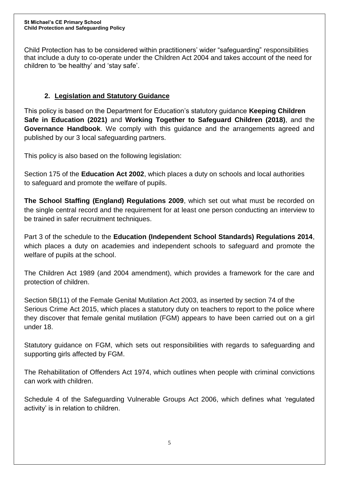Child Protection has to be considered within practitioners' wider "safeguarding" responsibilities that include a duty to co-operate under the Children Act 2004 and takes account of the need for children to 'be healthy' and 'stay safe'.

# **2. Legislation and Statutory Guidance**

This policy is based on the Department for Education's statutory guidance **Keeping Children Safe in Education (2021)** and **Working Together to Safeguard Children (2018)**, and the **Governance Handbook**. We comply with this guidance and the arrangements agreed and published by our 3 local safeguarding partners.

This policy is also based on the following legislation:

Section 175 of the **Education Act 2002**, which places a duty on schools and local authorities to safeguard and promote the welfare of pupils.

**The School Staffing (England) Regulations 2009**, which set out what must be recorded on the single central record and the requirement for at least one person conducting an interview to be trained in safer recruitment techniques.

Part 3 of the schedule to the **Education (Independent School Standards) Regulations 2014**, which places a duty on academies and independent schools to safeguard and promote the welfare of pupils at the school.

The Children Act 1989 (and 2004 amendment), which provides a framework for the care and protection of children.

Section 5B(11) of the Female Genital Mutilation Act 2003, as inserted by section 74 of the Serious Crime Act 2015, which places a statutory duty on teachers to report to the police where they discover that female genital mutilation (FGM) appears to have been carried out on a girl under 18.

Statutory guidance on FGM, which sets out responsibilities with regards to safeguarding and supporting girls affected by FGM.

The Rehabilitation of Offenders Act 1974, which outlines when people with criminal convictions can work with children.

Schedule 4 of the Safeguarding Vulnerable Groups Act 2006, which defines what 'regulated activity' is in relation to children.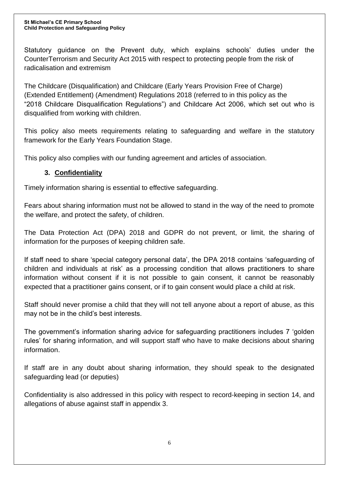Statutory guidance on the Prevent duty, which explains schools' duties under the CounterTerrorism and Security Act 2015 with respect to protecting people from the risk of radicalisation and extremism

The Childcare (Disqualification) and Childcare (Early Years Provision Free of Charge) (Extended Entitlement) (Amendment) Regulations 2018 (referred to in this policy as the "2018 Childcare Disqualification Regulations") and Childcare Act 2006, which set out who is disqualified from working with children.

This policy also meets requirements relating to safeguarding and welfare in the statutory framework for the Early Years Foundation Stage.

This policy also complies with our funding agreement and articles of association.

## **3. Confidentiality**

Timely information sharing is essential to effective safeguarding.

Fears about sharing information must not be allowed to stand in the way of the need to promote the welfare, and protect the safety, of children.

The Data Protection Act (DPA) 2018 and GDPR do not prevent, or limit, the sharing of information for the purposes of keeping children safe.

If staff need to share 'special category personal data', the DPA 2018 contains 'safeguarding of children and individuals at risk' as a processing condition that allows practitioners to share information without consent if it is not possible to gain consent, it cannot be reasonably expected that a practitioner gains consent, or if to gain consent would place a child at risk.

Staff should never promise a child that they will not tell anyone about a report of abuse, as this may not be in the child's best interests.

The government's information sharing advice for safeguarding practitioners includes 7 'golden rules' for sharing information, and will support staff who have to make decisions about sharing information.

If staff are in any doubt about sharing information, they should speak to the designated safeguarding lead (or deputies)

Confidentiality is also addressed in this policy with respect to record-keeping in section 14, and allegations of abuse against staff in appendix 3.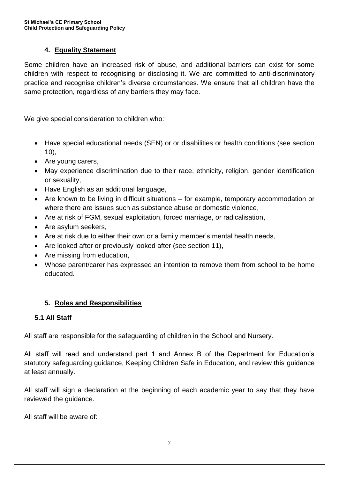## **4. Equality Statement**

Some children have an increased risk of abuse, and additional barriers can exist for some children with respect to recognising or disclosing it. We are committed to anti-discriminatory practice and recognise children's diverse circumstances. We ensure that all children have the same protection, regardless of any barriers they may face.

We give special consideration to children who:

- Have special educational needs (SEN) or or disabilities or health conditions (see section 10),
- Are young carers,
- May experience discrimination due to their race, ethnicity, religion, gender identification or sexuality,
- Have English as an additional language,
- Are known to be living in difficult situations for example, temporary accommodation or where there are issues such as substance abuse or domestic violence,
- Are at risk of FGM, sexual exploitation, forced marriage, or radicalisation,
- Are asylum seekers,
- Are at risk due to either their own or a family member's mental health needs,
- Are looked after or previously looked after (see section 11),
- Are missing from education,
- Whose parent/carer has expressed an intention to remove them from school to be home educated.

## **5. Roles and Responsibilities**

## **5.1 All Staff**

All staff are responsible for the safeguarding of children in the School and Nursery.

All staff will read and understand part 1 and Annex B of the Department for Education's statutory safeguarding guidance, Keeping Children Safe in Education, and review this guidance at least annually.

All staff will sign a declaration at the beginning of each academic year to say that they have reviewed the guidance.

All staff will be aware of: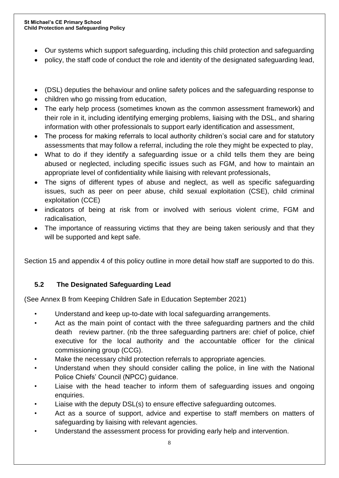- Our systems which support safeguarding, including this child protection and safeguarding
- policy, the staff code of conduct the role and identity of the designated safeguarding lead,
- (DSL) deputies the behaviour and online safety polices and the safeguarding response to
- children who go missing from education,
- The early help process (sometimes known as the common assessment framework) and their role in it, including identifying emerging problems, liaising with the DSL, and sharing information with other professionals to support early identification and assessment,
- The process for making referrals to local authority children's social care and for statutory assessments that may follow a referral, including the role they might be expected to play,
- What to do if they identify a safeguarding issue or a child tells them they are being abused or neglected, including specific issues such as FGM, and how to maintain an appropriate level of confidentiality while liaising with relevant professionals,
- The signs of different types of abuse and neglect, as well as specific safeguarding issues, such as peer on peer abuse, child sexual exploitation (CSE), child criminal exploitation (CCE)
- indicators of being at risk from or involved with serious violent crime, FGM and radicalisation,
- The importance of reassuring victims that they are being taken seriously and that they will be supported and kept safe.

Section 15 and appendix 4 of this policy outline in more detail how staff are supported to do this.

# **5.2 The Designated Safeguarding Lead**

(See Annex B from Keeping Children Safe in Education September 2021)

- Understand and keep up-to-date with local safeguarding arrangements.
- Act as the main point of contact with the three safeguarding partners and the child death review partner. (nb the three safeguarding partners are: chief of police, chief executive for the local authority and the accountable officer for the clinical commissioning group (CCG).
- Make the necessary child protection referrals to appropriate agencies.
- Understand when they should consider calling the police, in line with the National Police Chiefs' Council (NPCC) guidance.
- Liaise with the head teacher to inform them of safeguarding issues and ongoing enquiries.
- Liaise with the deputy DSL(s) to ensure effective safeguarding outcomes.
- Act as a source of support, advice and expertise to staff members on matters of safeguarding by liaising with relevant agencies.
- Understand the assessment process for providing early help and intervention.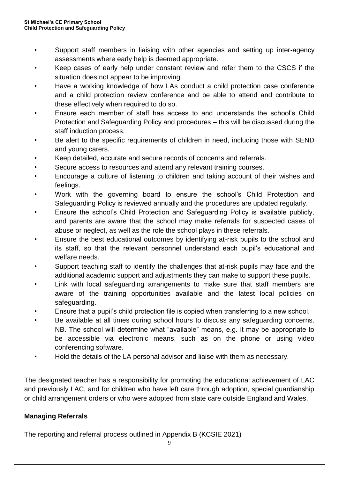- Support staff members in liaising with other agencies and setting up inter-agency assessments where early help is deemed appropriate.
- Keep cases of early help under constant review and refer them to the CSCS if the situation does not appear to be improving.
- Have a working knowledge of how LAs conduct a child protection case conference and a child protection review conference and be able to attend and contribute to these effectively when required to do so.
- Ensure each member of staff has access to and understands the school's Child Protection and Safeguarding Policy and procedures – this will be discussed during the staff induction process.
- Be alert to the specific requirements of children in need, including those with SEND and young carers.
- Keep detailed, accurate and secure records of concerns and referrals.
- Secure access to resources and attend any relevant training courses.
- Encourage a culture of listening to children and taking account of their wishes and feelings.
- Work with the governing board to ensure the school's Child Protection and Safeguarding Policy is reviewed annually and the procedures are updated regularly.
- Ensure the school's Child Protection and Safeguarding Policy is available publicly, and parents are aware that the school may make referrals for suspected cases of abuse or neglect, as well as the role the school plays in these referrals.
- Ensure the best educational outcomes by identifying at-risk pupils to the school and its staff, so that the relevant personnel understand each pupil's educational and welfare needs.
- Support teaching staff to identify the challenges that at-risk pupils may face and the additional academic support and adjustments they can make to support these pupils.
- Link with local safeguarding arrangements to make sure that staff members are aware of the training opportunities available and the latest local policies on safeguarding.
- Ensure that a pupil's child protection file is copied when transferring to a new school.
- Be available at all times during school hours to discuss any safeguarding concerns. NB. The school will determine what "available" means, e.g. it may be appropriate to be accessible via electronic means, such as on the phone or using video conferencing software.
- Hold the details of the LA personal advisor and liaise with them as necessary.

The designated teacher has a responsibility for promoting the educational achievement of LAC and previously LAC, and for children who have left care through adoption, special guardianship or child arrangement orders or who were adopted from state care outside England and Wales.

## **Managing Referrals**

The reporting and referral process outlined in Appendix B (KCSIE 2021)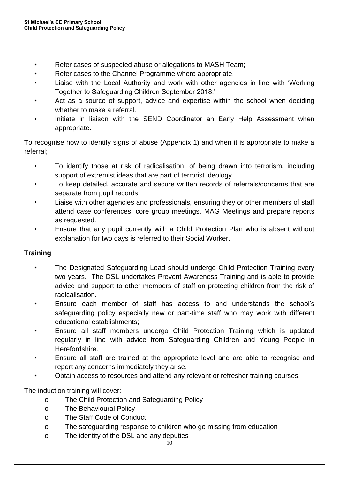- Refer cases of suspected abuse or allegations to MASH Team;
- Refer cases to the Channel Programme where appropriate.
- Liaise with the Local Authority and work with other agencies in line with 'Working Together to Safeguarding Children September 2018.'
- Act as a source of support, advice and expertise within the school when deciding whether to make a referral.
- Initiate in liaison with the SEND Coordinator an Early Help Assessment when appropriate.

To recognise how to identify signs of abuse (Appendix 1) and when it is appropriate to make a referral;

- To identify those at risk of radicalisation, of being drawn into terrorism, including support of extremist ideas that are part of terrorist ideology.
- To keep detailed, accurate and secure written records of referrals/concerns that are separate from pupil records;
- Liaise with other agencies and professionals, ensuring they or other members of staff attend case conferences, core group meetings, MAG Meetings and prepare reports as requested.
- Ensure that any pupil currently with a Child Protection Plan who is absent without explanation for two days is referred to their Social Worker.

# **Training**

- The Designated Safeguarding Lead should undergo Child Protection Training every two years. The DSL undertakes Prevent Awareness Training and is able to provide advice and support to other members of staff on protecting children from the risk of radicalisation.
- Ensure each member of staff has access to and understands the school's safeguarding policy especially new or part-time staff who may work with different educational establishments;
- Ensure all staff members undergo Child Protection Training which is updated regularly in line with advice from Safeguarding Children and Young People in Herefordshire.
- Ensure all staff are trained at the appropriate level and are able to recognise and report any concerns immediately they arise.
- Obtain access to resources and attend any relevant or refresher training courses.

The induction training will cover:

- o The Child Protection and Safeguarding Policy
- o The Behavioural Policy
- o The Staff Code of Conduct
- o The safeguarding response to children who go missing from education
- o The identity of the DSL and any deputies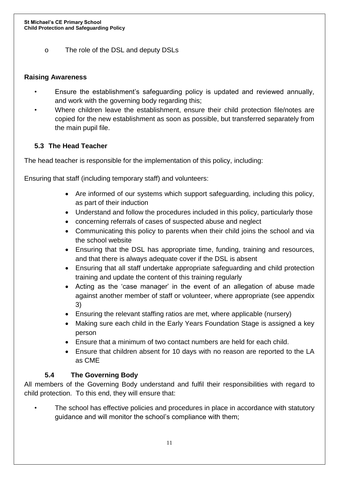o The role of the DSL and deputy DSLs

## **Raising Awareness**

- Ensure the establishment's safeguarding policy is updated and reviewed annually, and work with the governing body regarding this;
- Where children leave the establishment, ensure their child protection file/notes are copied for the new establishment as soon as possible, but transferred separately from the main pupil file.

# **5.3 The Head Teacher**

The head teacher is responsible for the implementation of this policy, including:

Ensuring that staff (including temporary staff) and volunteers:

- Are informed of our systems which support safeguarding, including this policy, as part of their induction
- Understand and follow the procedures included in this policy, particularly those
- concerning referrals of cases of suspected abuse and neglect
- Communicating this policy to parents when their child joins the school and via the school website
- Ensuring that the DSL has appropriate time, funding, training and resources, and that there is always adequate cover if the DSL is absent
- Ensuring that all staff undertake appropriate safeguarding and child protection training and update the content of this training regularly
- Acting as the 'case manager' in the event of an allegation of abuse made against another member of staff or volunteer, where appropriate (see appendix 3)
- Ensuring the relevant staffing ratios are met, where applicable (nursery)
- Making sure each child in the Early Years Foundation Stage is assigned a key person
- Ensure that a minimum of two contact numbers are held for each child.
- Ensure that children absent for 10 days with no reason are reported to the LA as CME

# **5.4 The Governing Body**

All members of the Governing Body understand and fulfil their responsibilities with regard to child protection. To this end, they will ensure that:

The school has effective policies and procedures in place in accordance with statutory guidance and will monitor the school's compliance with them;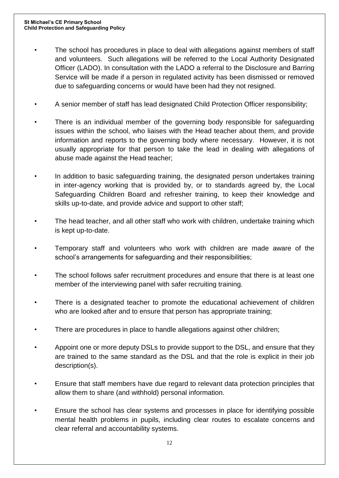- The school has procedures in place to deal with allegations against members of staff and volunteers. Such allegations will be referred to the Local Authority Designated Officer (LADO). In consultation with the LADO a referral to the Disclosure and Barring Service will be made if a person in regulated activity has been dismissed or removed due to safeguarding concerns or would have been had they not resigned.
- A senior member of staff has lead designated Child Protection Officer responsibility;
- There is an individual member of the governing body responsible for safeguarding issues within the school, who liaises with the Head teacher about them, and provide information and reports to the governing body where necessary. However, it is not usually appropriate for that person to take the lead in dealing with allegations of abuse made against the Head teacher;
- In addition to basic safeguarding training, the designated person undertakes training in inter-agency working that is provided by, or to standards agreed by, the Local Safeguarding Children Board and refresher training, to keep their knowledge and skills up-to-date, and provide advice and support to other staff;
- The head teacher, and all other staff who work with children, undertake training which is kept up-to-date.
- Temporary staff and volunteers who work with children are made aware of the school's arrangements for safeguarding and their responsibilities;
- The school follows safer recruitment procedures and ensure that there is at least one member of the interviewing panel with safer recruiting training.
- There is a designated teacher to promote the educational achievement of children who are looked after and to ensure that person has appropriate training;
- There are procedures in place to handle allegations against other children;
- Appoint one or more deputy DSLs to provide support to the DSL, and ensure that they are trained to the same standard as the DSL and that the role is explicit in their job description(s).
- Ensure that staff members have due regard to relevant data protection principles that allow them to share (and withhold) personal information.
- Ensure the school has clear systems and processes in place for identifying possible mental health problems in pupils, including clear routes to escalate concerns and clear referral and accountability systems.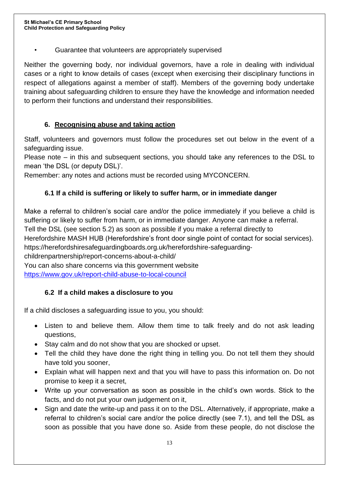• Guarantee that volunteers are appropriately supervised

Neither the governing body, nor individual governors, have a role in dealing with individual cases or a right to know details of cases (except when exercising their disciplinary functions in respect of allegations against a member of staff). Members of the governing body undertake training about safeguarding children to ensure they have the knowledge and information needed to perform their functions and understand their responsibilities.

## **6. Recognising abuse and taking action**

Staff, volunteers and governors must follow the procedures set out below in the event of a safeguarding issue.

Please note – in this and subsequent sections, you should take any references to the DSL to mean 'the DSL (or deputy DSL)'.

Remember: any notes and actions must be recorded using MYCONCERN.

# **6.1 If a child is suffering or likely to suffer harm, or in immediate danger**

Make a referral to children's social care and/or the police immediately if you believe a child is suffering or likely to suffer from harm, or in immediate danger. Anyone can make a referral. Tell the DSL (see section 5.2) as soon as possible if you make a referral directly to Herefordshire MASH HUB (Herefordshire's front door single point of contact for social services). https://herefordshiresafeguardingboards.org.uk/herefordshire-safeguardingchildrenpartnership/report-concerns-about-a-child/ You can also share concerns via this government website <https://www.gov.uk/report-child-abuse-to-local-council>

# **6.2 If a child makes a disclosure to you**

If a child discloses a safeguarding issue to you, you should:

- Listen to and believe them. Allow them time to talk freely and do not ask leading questions,
- Stay calm and do not show that you are shocked or upset.
- Tell the child they have done the right thing in telling you. Do not tell them they should have told you sooner,
- Explain what will happen next and that you will have to pass this information on. Do not promise to keep it a secret,
- Write up your conversation as soon as possible in the child's own words. Stick to the facts, and do not put your own judgement on it,
- Sign and date the write-up and pass it on to the DSL. Alternatively, if appropriate, make a referral to children's social care and/or the police directly (see 7.1), and tell the DSL as soon as possible that you have done so. Aside from these people, do not disclose the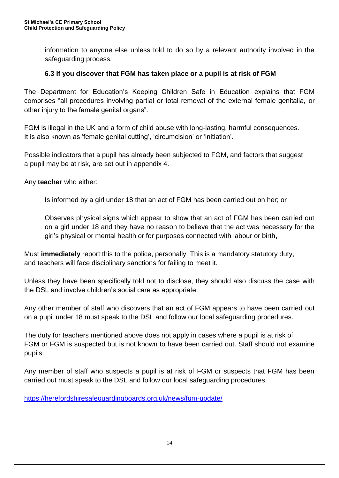information to anyone else unless told to do so by a relevant authority involved in the safeguarding process.

## **6.3 If you discover that FGM has taken place or a pupil is at risk of FGM**

The Department for Education's Keeping Children Safe in Education explains that FGM comprises "all procedures involving partial or total removal of the external female genitalia, or other injury to the female genital organs".

FGM is illegal in the UK and a form of child abuse with long-lasting, harmful consequences. It is also known as 'female genital cutting', 'circumcision' or 'initiation'.

Possible indicators that a pupil has already been subjected to FGM, and factors that suggest a pupil may be at risk, are set out in appendix 4.

Any **teacher** who either:

Is informed by a girl under 18 that an act of FGM has been carried out on her; or

Observes physical signs which appear to show that an act of FGM has been carried out on a girl under 18 and they have no reason to believe that the act was necessary for the girl's physical or mental health or for purposes connected with labour or birth,

Must **immediately** report this to the police, personally. This is a mandatory statutory duty, and teachers will face disciplinary sanctions for failing to meet it.

Unless they have been specifically told not to disclose, they should also discuss the case with the DSL and involve children's social care as appropriate.

Any other member of staff who discovers that an act of FGM appears to have been carried out on a pupil under 18 must speak to the DSL and follow our local safeguarding procedures.

The duty for teachers mentioned above does not apply in cases where a pupil is at risk of FGM or FGM is suspected but is not known to have been carried out. Staff should not examine pupils.

Any member of staff who suspects a pupil is at risk of FGM or suspects that FGM has been carried out must speak to the DSL and follow our local safeguarding procedures.

<https://herefordshiresafeguardingboards.org.uk/news/fgm-update/>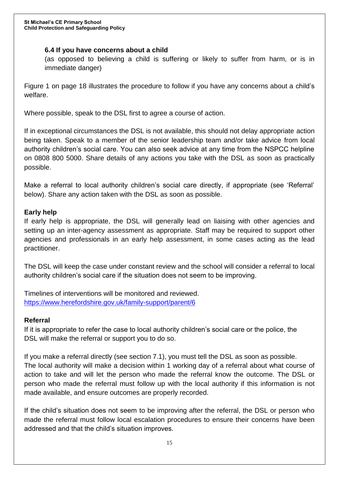## **6.4 If you have concerns about a child**

(as opposed to believing a child is suffering or likely to suffer from harm, or is in immediate danger)

Figure 1 on page 18 illustrates the procedure to follow if you have any concerns about a child's welfare.

Where possible, speak to the DSL first to agree a course of action.

If in exceptional circumstances the DSL is not available, this should not delay appropriate action being taken. Speak to a member of the senior leadership team and/or take advice from local authority children's social care. You can also seek advice at any time from the NSPCC helpline on 0808 800 5000. Share details of any actions you take with the DSL as soon as practically possible.

Make a referral to local authority children's social care directly, if appropriate (see 'Referral' below). Share any action taken with the DSL as soon as possible.

## **Early help**

If early help is appropriate, the DSL will generally lead on liaising with other agencies and setting up an inter-agency assessment as appropriate. Staff may be required to support other agencies and professionals in an early help assessment, in some cases acting as the lead practitioner.

The DSL will keep the case under constant review and the school will consider a referral to local authority children's social care if the situation does not seem to be improving.

Timelines of interventions will be monitored and reviewed. <https://www.herefordshire.gov.uk/family-support/parent/6>

#### **Referral**

If it is appropriate to refer the case to local authority children's social care or the police, the DSL will make the referral or support you to do so.

If you make a referral directly (see section 7.1), you must tell the DSL as soon as possible. The local authority will make a decision within 1 working day of a referral about what course of action to take and will let the person who made the referral know the outcome. The DSL or person who made the referral must follow up with the local authority if this information is not made available, and ensure outcomes are properly recorded.

If the child's situation does not seem to be improving after the referral, the DSL or person who made the referral must follow local escalation procedures to ensure their concerns have been addressed and that the child's situation improves.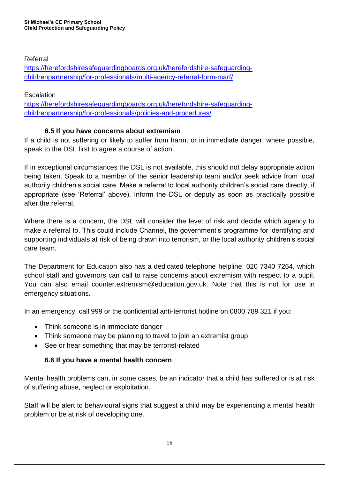## Referral

[https://herefordshiresafeguardingboards.org.uk/herefordshire-safeguarding](https://herefordshiresafeguardingboards.org.uk/herefordshire-safeguarding-childrenpartnership/for-professionals/multi-agency-referral-form-marf/)[childrenpartnership/for-professionals/multi-agency-referral-form-marf/](https://herefordshiresafeguardingboards.org.uk/herefordshire-safeguarding-childrenpartnership/for-professionals/multi-agency-referral-form-marf/)

## **Escalation**

[https://herefordshiresafeguardingboards.org.uk/herefordshire-safeguarding](https://herefordshiresafeguardingboards.org.uk/herefordshire-safeguarding-childrenpartnership/for-professionals/policies-and-procedures/)[childrenpartnership/for-professionals/policies-and-procedures/](https://herefordshiresafeguardingboards.org.uk/herefordshire-safeguarding-childrenpartnership/for-professionals/policies-and-procedures/)

# **6.5 If you have concerns about extremism**

If a child is not suffering or likely to suffer from harm, or in immediate danger, where possible, speak to the DSL first to agree a course of action.

If in exceptional circumstances the DSL is not available, this should not delay appropriate action being taken. Speak to a member of the senior leadership team and/or seek advice from local authority children's social care. Make a referral to local authority children's social care directly, if appropriate (see 'Referral' above). Inform the DSL or deputy as soon as practically possible after the referral.

Where there is a concern, the DSL will consider the level of risk and decide which agency to make a referral to. This could include Channel, the government's programme for identifying and supporting individuals at risk of being drawn into terrorism, or the local authority children's social care team.

The Department for Education also has a dedicated telephone helpline, 020 7340 7264, which school staff and governors can call to raise concerns about extremism with respect to a pupil. You can also email counter.extremism@education.gov.uk. Note that this is not for use in emergency situations.

In an emergency, call 999 or the confidential anti-terrorist hotline on 0800 789 321 if you:

- Think someone is in immediate danger
- Think someone may be planning to travel to join an extremist group
- See or hear something that may be terrorist-related

# **6.6 If you have a mental health concern**

Mental health problems can, in some cases, be an indicator that a child has suffered or is at risk of suffering abuse, neglect or exploitation.

Staff will be alert to behavioural signs that suggest a child may be experiencing a mental health problem or be at risk of developing one.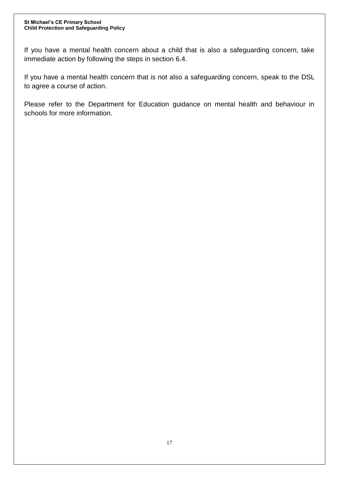#### **St Michael's CE Primary School Child Protection and Safeguarding Policy**

If you have a mental health concern about a child that is also a safeguarding concern, take immediate action by following the steps in section 6.4.

If you have a mental health concern that is not also a safeguarding concern, speak to the DSL to agree a course of action.

Please refer to the Department for Education guidance on mental health and behaviour in schools for more information.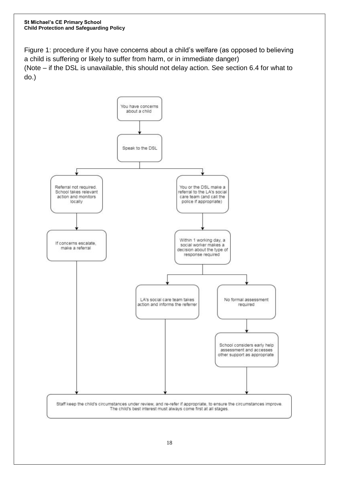Figure 1: procedure if you have concerns about a child's welfare (as opposed to believing a child is suffering or likely to suffer from harm, or in immediate danger) (Note – if the DSL is unavailable, this should not delay action. See section 6.4 for what to do.)

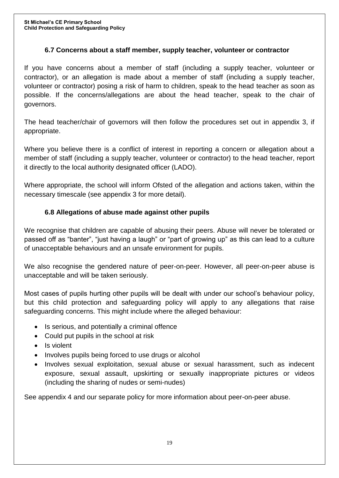## **6.7 Concerns about a staff member, supply teacher, volunteer or contractor**

If you have concerns about a member of staff (including a supply teacher, volunteer or contractor), or an allegation is made about a member of staff (including a supply teacher, volunteer or contractor) posing a risk of harm to children, speak to the head teacher as soon as possible. If the concerns/allegations are about the head teacher, speak to the chair of governors.

The head teacher/chair of governors will then follow the procedures set out in appendix 3, if appropriate.

Where you believe there is a conflict of interest in reporting a concern or allegation about a member of staff (including a supply teacher, volunteer or contractor) to the head teacher, report it directly to the local authority designated officer (LADO).

Where appropriate, the school will inform Ofsted of the allegation and actions taken, within the necessary timescale (see appendix 3 for more detail).

## **6.8 Allegations of abuse made against other pupils**

We recognise that children are capable of abusing their peers. Abuse will never be tolerated or passed off as "banter", "just having a laugh" or "part of growing up" as this can lead to a culture of unacceptable behaviours and an unsafe environment for pupils.

We also recognise the gendered nature of peer-on-peer. However, all peer-on-peer abuse is unacceptable and will be taken seriously.

Most cases of pupils hurting other pupils will be dealt with under our school's behaviour policy, but this child protection and safeguarding policy will apply to any allegations that raise safeguarding concerns. This might include where the alleged behaviour:

- Is serious, and potentially a criminal offence
- Could put pupils in the school at risk
- Is violent
- Involves pupils being forced to use drugs or alcohol
- Involves sexual exploitation, sexual abuse or sexual harassment, such as indecent exposure, sexual assault, upskirting or sexually inappropriate pictures or videos (including the sharing of nudes or semi-nudes)

See appendix 4 and our separate policy for more information about peer-on-peer abuse.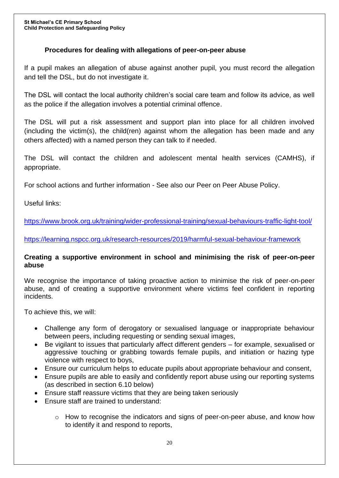## **Procedures for dealing with allegations of peer-on-peer abuse**

If a pupil makes an allegation of abuse against another pupil, you must record the allegation and tell the DSL, but do not investigate it.

The DSL will contact the local authority children's social care team and follow its advice, as well as the police if the allegation involves a potential criminal offence.

The DSL will put a risk assessment and support plan into place for all children involved (including the victim(s), the child(ren) against whom the allegation has been made and any others affected) with a named person they can talk to if needed.

The DSL will contact the children and adolescent mental health services (CAMHS), if appropriate.

For school actions and further information - See also our Peer on Peer Abuse Policy.

Useful links:

<https://www.brook.org.uk/training/wider-professional-training/sexual-behaviours-traffic-light-tool/>

<https://learning.nspcc.org.uk/research-resources/2019/harmful-sexual-behaviour-framework>

#### **Creating a supportive environment in school and minimising the risk of peer-on-peer abuse**

We recognise the importance of taking proactive action to minimise the risk of peer-on-peer abuse, and of creating a supportive environment where victims feel confident in reporting incidents.

To achieve this, we will:

- Challenge any form of derogatory or sexualised language or inappropriate behaviour between peers, including requesting or sending sexual images,
- Be vigilant to issues that particularly affect different genders for example, sexualised or aggressive touching or grabbing towards female pupils, and initiation or hazing type violence with respect to boys,
- Ensure our curriculum helps to educate pupils about appropriate behaviour and consent,
- Ensure pupils are able to easily and confidently report abuse using our reporting systems (as described in section 6.10 below)
- Ensure staff reassure victims that they are being taken seriously
- Ensure staff are trained to understand:
	- $\circ$  How to recognise the indicators and signs of peer-on-peer abuse, and know how to identify it and respond to reports,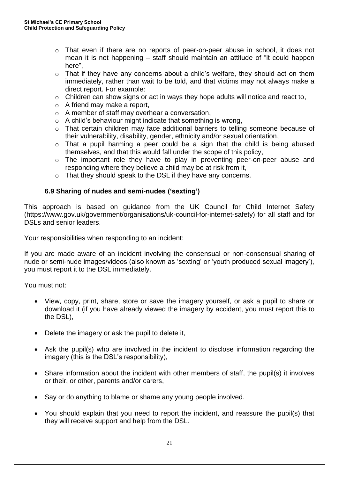- $\circ$  That even if there are no reports of peer-on-peer abuse in school, it does not mean it is not happening – staff should maintain an attitude of "it could happen here",
- $\circ$  That if they have any concerns about a child's welfare, they should act on them immediately, rather than wait to be told, and that victims may not always make a direct report. For example:
- $\circ$  Children can show signs or act in ways they hope adults will notice and react to,
- o A friend may make a report,
- o A member of staff may overhear a conversation,
- $\circ$  A child's behaviour might indicate that something is wrong,
- o That certain children may face additional barriers to telling someone because of their vulnerability, disability, gender, ethnicity and/or sexual orientation,
- $\circ$  That a pupil harming a peer could be a sign that the child is being abused themselves, and that this would fall under the scope of this policy,
- o The important role they have to play in preventing peer-on-peer abuse and responding where they believe a child may be at risk from it,
- o That they should speak to the DSL if they have any concerns.

#### **6.9 Sharing of nudes and semi-nudes ('sexting')**

This approach is based on guidance from the UK Council for Child Internet Safety (https://www.gov.uk/government/organisations/uk-council-for-internet-safety) for all staff and for DSLs and senior leaders.

Your responsibilities when responding to an incident:

If you are made aware of an incident involving the consensual or non-consensual sharing of nude or semi-nude images/videos (also known as 'sexting' or 'youth produced sexual imagery'), you must report it to the DSL immediately.

You must not:

- View, copy, print, share, store or save the imagery yourself, or ask a pupil to share or download it (if you have already viewed the imagery by accident, you must report this to the DSL),
- Delete the imagery or ask the pupil to delete it,
- Ask the pupil(s) who are involved in the incident to disclose information regarding the imagery (this is the DSL's responsibility),
- Share information about the incident with other members of staff, the pupil(s) it involves or their, or other, parents and/or carers,
- Say or do anything to blame or shame any young people involved.
- You should explain that you need to report the incident, and reassure the pupil(s) that they will receive support and help from the DSL.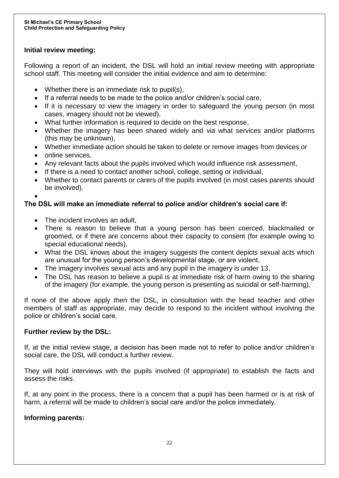## **Initial review meeting:**

Following a report of an incident, the DSL will hold an initial review meeting with appropriate school staff. This meeting will consider the initial evidence and aim to determine:

- Whether there is an immediate risk to pupil(s),
- If a referral needs to be made to the police and/or children's social care,
- If it is necessary to view the imagery in order to safeguard the young person (in most cases, imagery should not be viewed),
- What further information is required to decide on the best response,
- Whether the imagery has been shared widely and via what services and/or platforms (this may be unknown),
- Whether immediate action should be taken to delete or remove images from devices or
- online services,
- Any relevant facts about the pupils involved which would influence risk assessment,
- If there is a need to contact another school, college, setting or individual,
- Whether to contact parents or carers of the pupils involved (in most cases parents should be involved).
- $\bullet$

## **The DSL will make an immediate referral to police and/or children's social care if:**

- The incident involves an adult,
- There is reason to believe that a young person has been coerced, blackmailed or groomed, or if there are concerns about their capacity to consent (for example owing to special educational needs),
- What the DSL knows about the imagery suggests the content depicts sexual acts which are unusual for the young person's developmental stage, or are violent,
- The imagery involves sexual acts and any pupil in the imagery is under 13,
- The DSL has reason to believe a pupil is at immediate risk of harm owing to the sharing of the imagery (for example, the young person is presenting as suicidal or self-harming),

If none of the above apply then the DSL, in consultation with the head teacher and other members of staff as appropriate, may decide to respond to the incident without involving the police or children's social care.

#### **Further review by the DSL:**

If, at the initial review stage, a decision has been made not to refer to police and/or children's social care, the DSL will conduct a further review.

They will hold interviews with the pupils involved (if appropriate) to establish the facts and assess the risks.

If, at any point in the process, there is a concern that a pupil has been harmed or is at risk of harm, a referral will be made to children's social care and/or the police immediately.

#### **Informing parents:**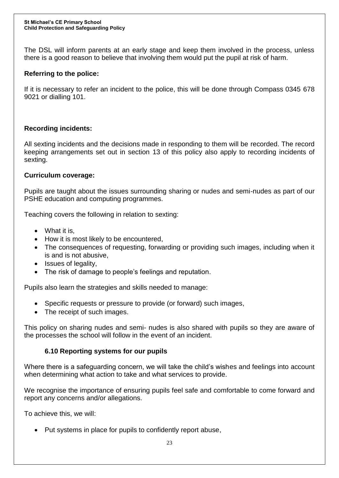The DSL will inform parents at an early stage and keep them involved in the process, unless there is a good reason to believe that involving them would put the pupil at risk of harm.

## **Referring to the police:**

If it is necessary to refer an incident to the police, this will be done through Compass 0345 678 9021 or dialling 101.

#### **Recording incidents:**

All sexting incidents and the decisions made in responding to them will be recorded. The record keeping arrangements set out in section 13 of this policy also apply to recording incidents of sexting.

#### **Curriculum coverage:**

Pupils are taught about the issues surrounding sharing or nudes and semi-nudes as part of our PSHE education and computing programmes.

Teaching covers the following in relation to sexting:

- What it is.
- How it is most likely to be encountered,
- The consequences of requesting, forwarding or providing such images, including when it is and is not abusive,
- Issues of legality,
- The risk of damage to people's feelings and reputation.

Pupils also learn the strategies and skills needed to manage:

- Specific requests or pressure to provide (or forward) such images,
- The receipt of such images.

This policy on sharing nudes and semi- nudes is also shared with pupils so they are aware of the processes the school will follow in the event of an incident.

## **6.10 Reporting systems for our pupils**

Where there is a safeguarding concern, we will take the child's wishes and feelings into account when determining what action to take and what services to provide.

We recognise the importance of ensuring pupils feel safe and comfortable to come forward and report any concerns and/or allegations.

To achieve this, we will:

Put systems in place for pupils to confidently report abuse,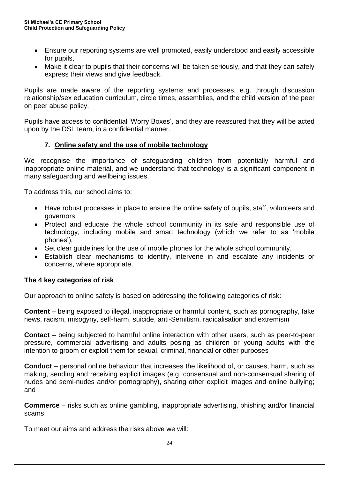- Ensure our reporting systems are well promoted, easily understood and easily accessible for pupils,
- Make it clear to pupils that their concerns will be taken seriously, and that they can safely express their views and give feedback.

Pupils are made aware of the reporting systems and processes, e.g. through discussion relationship/sex education curriculum, circle times, assemblies, and the child version of the peer on peer abuse policy.

Pupils have access to confidential 'Worry Boxes', and they are reassured that they will be acted upon by the DSL team, in a confidential manner.

## **7. Online safety and the use of mobile technology**

We recognise the importance of safeguarding children from potentially harmful and inappropriate online material, and we understand that technology is a significant component in many safeguarding and wellbeing issues.

To address this, our school aims to:

- Have robust processes in place to ensure the online safety of pupils, staff, volunteers and governors,
- Protect and educate the whole school community in its safe and responsible use of technology, including mobile and smart technology (which we refer to as 'mobile phones'),
- Set clear guidelines for the use of mobile phones for the whole school community,
- Establish clear mechanisms to identify, intervene in and escalate any incidents or concerns, where appropriate.

#### **The 4 key categories of risk**

Our approach to online safety is based on addressing the following categories of risk:

**Content** – being exposed to illegal, inappropriate or harmful content, such as pornography, fake news, racism, misogyny, self-harm, suicide, anti-Semitism, radicalisation and extremism

**Contact** – being subjected to harmful online interaction with other users, such as peer-to-peer pressure, commercial advertising and adults posing as children or young adults with the intention to groom or exploit them for sexual, criminal, financial or other purposes

**Conduct** – personal online behaviour that increases the likelihood of, or causes, harm, such as making, sending and receiving explicit images (e.g. consensual and non-consensual sharing of nudes and semi-nudes and/or pornography), sharing other explicit images and online bullying; and

**Commerce** – risks such as online gambling, inappropriate advertising, phishing and/or financial scams

To meet our aims and address the risks above we will: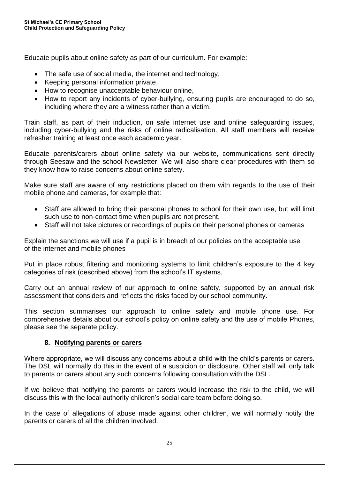Educate pupils about online safety as part of our curriculum. For example:

- The safe use of social media, the internet and technology,
- Keeping personal information private,
- How to recognise unacceptable behaviour online,
- How to report any incidents of cyber-bullying, ensuring pupils are encouraged to do so, including where they are a witness rather than a victim.

Train staff, as part of their induction, on safe internet use and online safeguarding issues, including cyber-bullying and the risks of online radicalisation. All staff members will receive refresher training at least once each academic year.

Educate parents/carers about online safety via our website, communications sent directly through Seesaw and the school Newsletter. We will also share clear procedures with them so they know how to raise concerns about online safety.

Make sure staff are aware of any restrictions placed on them with regards to the use of their mobile phone and cameras, for example that:

- Staff are allowed to bring their personal phones to school for their own use, but will limit such use to non-contact time when pupils are not present,
- Staff will not take pictures or recordings of pupils on their personal phones or cameras

Explain the sanctions we will use if a pupil is in breach of our policies on the acceptable use of the internet and mobile phones

Put in place robust filtering and monitoring systems to limit children's exposure to the 4 key categories of risk (described above) from the school's IT systems,

Carry out an annual review of our approach to online safety, supported by an annual risk assessment that considers and reflects the risks faced by our school community.

This section summarises our approach to online safety and mobile phone use. For comprehensive details about our school's policy on online safety and the use of mobile Phones, please see the separate policy.

## **8. Notifying parents or carers**

Where appropriate, we will discuss any concerns about a child with the child's parents or carers. The DSL will normally do this in the event of a suspicion or disclosure. Other staff will only talk to parents or carers about any such concerns following consultation with the DSL.

If we believe that notifying the parents or carers would increase the risk to the child, we will discuss this with the local authority children's social care team before doing so.

In the case of allegations of abuse made against other children, we will normally notify the parents or carers of all the children involved.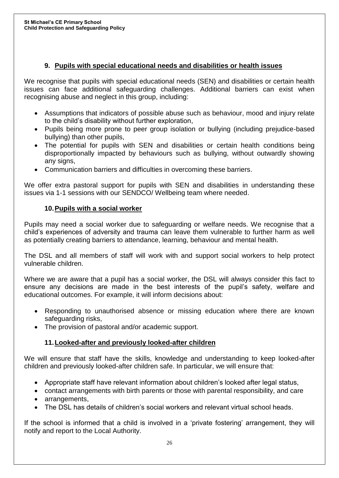## **9. Pupils with special educational needs and disabilities or health issues**

We recognise that pupils with special educational needs (SEN) and disabilities or certain health issues can face additional safeguarding challenges. Additional barriers can exist when recognising abuse and neglect in this group, including:

- Assumptions that indicators of possible abuse such as behaviour, mood and injury relate to the child's disability without further exploration,
- Pupils being more prone to peer group isolation or bullying (including prejudice-based bullying) than other pupils,
- The potential for pupils with SEN and disabilities or certain health conditions being disproportionally impacted by behaviours such as bullying, without outwardly showing any signs,
- Communication barriers and difficulties in overcoming these barriers.

We offer extra pastoral support for pupils with SEN and disabilities in understanding these issues via 1-1 sessions with our SENDCO/ Wellbeing team where needed.

## **10.Pupils with a social worker**

Pupils may need a social worker due to safeguarding or welfare needs. We recognise that a child's experiences of adversity and trauma can leave them vulnerable to further harm as well as potentially creating barriers to attendance, learning, behaviour and mental health.

The DSL and all members of staff will work with and support social workers to help protect vulnerable children.

Where we are aware that a pupil has a social worker, the DSL will always consider this fact to ensure any decisions are made in the best interests of the pupil's safety, welfare and educational outcomes. For example, it will inform decisions about:

- Responding to unauthorised absence or missing education where there are known safeguarding risks,
- The provision of pastoral and/or academic support.

# **11.Looked-after and previously looked-after children**

We will ensure that staff have the skills, knowledge and understanding to keep looked-after children and previously looked-after children safe. In particular, we will ensure that:

- Appropriate staff have relevant information about children's looked after legal status,
- contact arrangements with birth parents or those with parental responsibility, and care
- arrangements,
- The DSL has details of children's social workers and relevant virtual school heads.

If the school is informed that a child is involved in a 'private fostering' arrangement, they will notify and report to the Local Authority.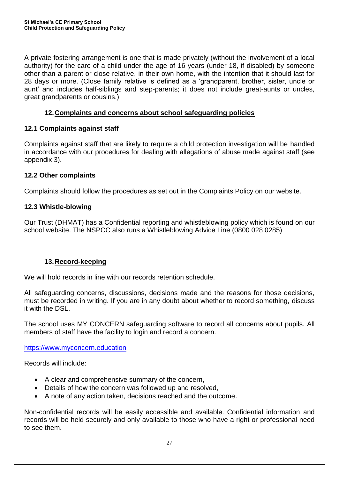A private fostering arrangement is one that is made privately (without the involvement of a local authority) for the care of a child under the age of 16 years (under 18, if disabled) by someone other than a parent or close relative, in their own home, with the intention that it should last for 28 days or more. (Close family relative is defined as a 'grandparent, brother, sister, uncle or aunt' and includes half-siblings and step-parents; it does not include great-aunts or uncles, great grandparents or cousins.)

## **12.Complaints and concerns about school safeguarding policies**

## **12.1 Complaints against staff**

Complaints against staff that are likely to require a child protection investigation will be handled in accordance with our procedures for dealing with allegations of abuse made against staff (see appendix 3).

## **12.2 Other complaints**

Complaints should follow the procedures as set out in the Complaints Policy on our website.

## **12.3 Whistle-blowing**

Our Trust (DHMAT) has a Confidential reporting and whistleblowing policy which is found on our school website. The NSPCC also runs a Whistleblowing Advice Line (0800 028 0285)

#### **13.Record-keeping**

We will hold records in line with our records retention schedule.

All safeguarding concerns, discussions, decisions made and the reasons for those decisions, must be recorded in writing. If you are in any doubt about whether to record something, discuss it with the DSL.

The school uses MY CONCERN safeguarding software to record all concerns about pupils. All members of staff have the facility to login and record a concern.

[https://www.myconcern.education](https://www.myconcern.education/)

Records will include:

- A clear and comprehensive summary of the concern,
- Details of how the concern was followed up and resolved,
- A note of any action taken, decisions reached and the outcome.

Non-confidential records will be easily accessible and available. Confidential information and records will be held securely and only available to those who have a right or professional need to see them.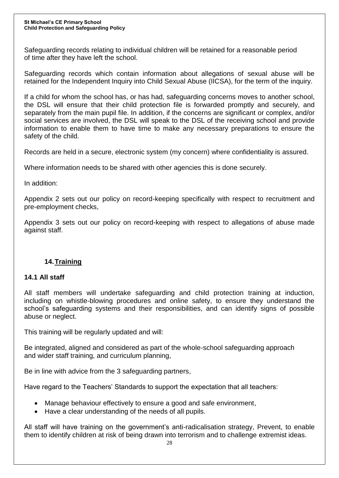Safeguarding records relating to individual children will be retained for a reasonable period of time after they have left the school.

Safeguarding records which contain information about allegations of sexual abuse will be retained for the Independent Inquiry into Child Sexual Abuse (IICSA), for the term of the inquiry.

If a child for whom the school has, or has had, safeguarding concerns moves to another school, the DSL will ensure that their child protection file is forwarded promptly and securely, and separately from the main pupil file. In addition, if the concerns are significant or complex, and/or social services are involved, the DSL will speak to the DSL of the receiving school and provide information to enable them to have time to make any necessary preparations to ensure the safety of the child.

Records are held in a secure, electronic system (my concern) where confidentiality is assured.

Where information needs to be shared with other agencies this is done securely.

In addition:

Appendix 2 sets out our policy on record-keeping specifically with respect to recruitment and pre-employment checks,

Appendix 3 sets out our policy on record-keeping with respect to allegations of abuse made against staff.

#### **14.Training**

#### **14.1 All staff**

All staff members will undertake safeguarding and child protection training at induction, including on whistle-blowing procedures and online safety, to ensure they understand the school's safeguarding systems and their responsibilities, and can identify signs of possible abuse or neglect.

This training will be regularly updated and will:

Be integrated, aligned and considered as part of the whole-school safeguarding approach and wider staff training, and curriculum planning,

Be in line with advice from the 3 safeguarding partners,

Have regard to the Teachers' Standards to support the expectation that all teachers:

- Manage behaviour effectively to ensure a good and safe environment,
- Have a clear understanding of the needs of all pupils.

All staff will have training on the government's anti-radicalisation strategy, Prevent, to enable them to identify children at risk of being drawn into terrorism and to challenge extremist ideas.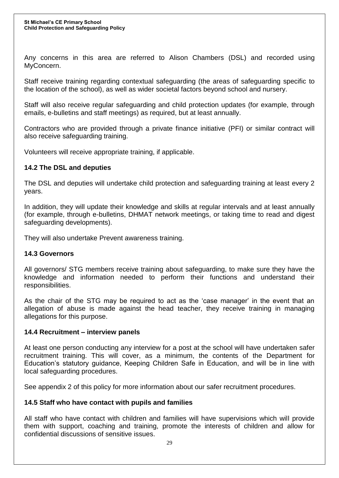Any concerns in this area are referred to Alison Chambers (DSL) and recorded using MyConcern.

Staff receive training regarding contextual safeguarding (the areas of safeguarding specific to the location of the school), as well as wider societal factors beyond school and nursery.

Staff will also receive regular safeguarding and child protection updates (for example, through emails, e-bulletins and staff meetings) as required, but at least annually.

Contractors who are provided through a private finance initiative (PFI) or similar contract will also receive safeguarding training.

Volunteers will receive appropriate training, if applicable.

#### **14.2 The DSL and deputies**

The DSL and deputies will undertake child protection and safeguarding training at least every 2 years.

In addition, they will update their knowledge and skills at regular intervals and at least annually (for example, through e-bulletins, DHMAT network meetings, or taking time to read and digest safeguarding developments).

They will also undertake Prevent awareness training.

#### **14.3 Governors**

All governors/ STG members receive training about safeguarding, to make sure they have the knowledge and information needed to perform their functions and understand their responsibilities.

As the chair of the STG may be required to act as the 'case manager' in the event that an allegation of abuse is made against the head teacher, they receive training in managing allegations for this purpose.

#### **14.4 Recruitment – interview panels**

At least one person conducting any interview for a post at the school will have undertaken safer recruitment training. This will cover, as a minimum, the contents of the Department for Education's statutory guidance, Keeping Children Safe in Education, and will be in line with local safeguarding procedures.

See appendix 2 of this policy for more information about our safer recruitment procedures.

#### **14.5 Staff who have contact with pupils and families**

All staff who have contact with children and families will have supervisions which will provide them with support, coaching and training, promote the interests of children and allow for confidential discussions of sensitive issues.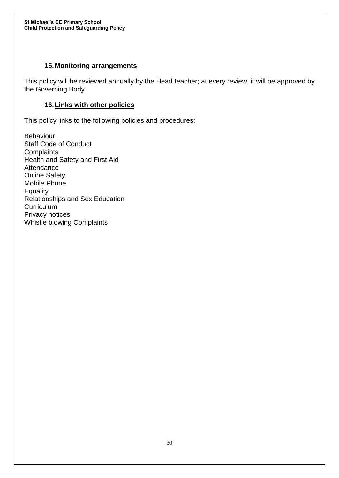### **15.Monitoring arrangements**

This policy will be reviewed annually by the Head teacher; at every review, it will be approved by the Governing Body.

### **16.Links with other policies**

This policy links to the following policies and procedures:

Behaviour Staff Code of Conduct **Complaints** Health and Safety and First Aid **Attendance** Online Safety Mobile Phone **Equality** Relationships and Sex Education **Curriculum** Privacy notices Whistle blowing Complaints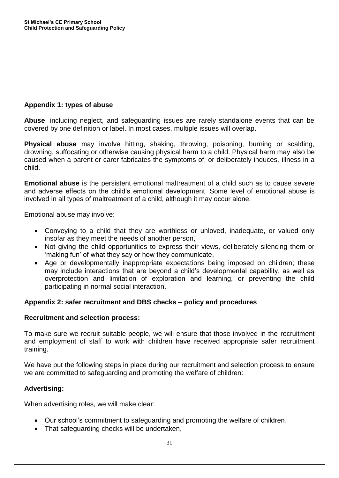## **Appendix 1: types of abuse**

**Abuse**, including neglect, and safeguarding issues are rarely standalone events that can be covered by one definition or label. In most cases, multiple issues will overlap.

**Physical abuse** may involve hitting, shaking, throwing, poisoning, burning or scalding, drowning, suffocating or otherwise causing physical harm to a child. Physical harm may also be caused when a parent or carer fabricates the symptoms of, or deliberately induces, illness in a child.

**Emotional abuse** is the persistent emotional maltreatment of a child such as to cause severe and adverse effects on the child's emotional development. Some level of emotional abuse is involved in all types of maltreatment of a child, although it may occur alone.

Emotional abuse may involve:

- Conveying to a child that they are worthless or unloved, inadequate, or valued only insofar as they meet the needs of another person,
- Not giving the child opportunities to express their views, deliberately silencing them or 'making fun' of what they say or how they communicate,
- Age or developmentally inappropriate expectations being imposed on children; these may include interactions that are beyond a child's developmental capability, as well as overprotection and limitation of exploration and learning, or preventing the child participating in normal social interaction.

#### **Appendix 2: safer recruitment and DBS checks – policy and procedures**

#### **Recruitment and selection process:**

To make sure we recruit suitable people, we will ensure that those involved in the recruitment and employment of staff to work with children have received appropriate safer recruitment training.

We have put the following steps in place during our recruitment and selection process to ensure we are committed to safeguarding and promoting the welfare of children:

#### **Advertising:**

When advertising roles, we will make clear:

- Our school's commitment to safeguarding and promoting the welfare of children,
- That safeguarding checks will be undertaken,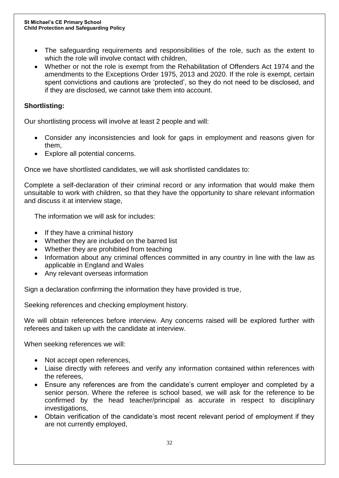- The safeguarding requirements and responsibilities of the role, such as the extent to which the role will involve contact with children,
- Whether or not the role is exempt from the Rehabilitation of Offenders Act 1974 and the amendments to the Exceptions Order 1975, 2013 and 2020. If the role is exempt, certain spent convictions and cautions are 'protected', so they do not need to be disclosed, and if they are disclosed, we cannot take them into account.

## **Shortlisting:**

Our shortlisting process will involve at least 2 people and will:

- Consider any inconsistencies and look for gaps in employment and reasons given for them,
- Explore all potential concerns.

Once we have shortlisted candidates, we will ask shortlisted candidates to:

Complete a self-declaration of their criminal record or any information that would make them unsuitable to work with children, so that they have the opportunity to share relevant information and discuss it at interview stage,

The information we will ask for includes:

- If they have a criminal history
- Whether they are included on the barred list
- Whether they are prohibited from teaching
- Information about any criminal offences committed in any country in line with the law as applicable in England and Wales
- Any relevant overseas information

Sign a declaration confirming the information they have provided is true,

Seeking references and checking employment history.

We will obtain references before interview. Any concerns raised will be explored further with referees and taken up with the candidate at interview.

When seeking references we will:

- Not accept open references,
- Liaise directly with referees and verify any information contained within references with the referees,
- Ensure any references are from the candidate's current employer and completed by a senior person. Where the referee is school based, we will ask for the reference to be confirmed by the head teacher/principal as accurate in respect to disciplinary investigations,
- Obtain verification of the candidate's most recent relevant period of employment if they are not currently employed,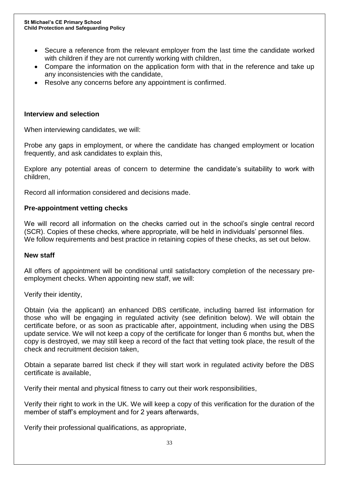- Secure a reference from the relevant employer from the last time the candidate worked with children if they are not currently working with children,
- Compare the information on the application form with that in the reference and take up any inconsistencies with the candidate,
- Resolve any concerns before any appointment is confirmed.

#### **Interview and selection**

When interviewing candidates, we will:

Probe any gaps in employment, or where the candidate has changed employment or location frequently, and ask candidates to explain this,

Explore any potential areas of concern to determine the candidate's suitability to work with children,

Record all information considered and decisions made.

#### **Pre-appointment vetting checks**

We will record all information on the checks carried out in the school's single central record (SCR). Copies of these checks, where appropriate, will be held in individuals' personnel files. We follow requirements and best practice in retaining copies of these checks, as set out below.

#### **New staff**

All offers of appointment will be conditional until satisfactory completion of the necessary preemployment checks. When appointing new staff, we will:

Verify their identity,

Obtain (via the applicant) an enhanced DBS certificate, including barred list information for those who will be engaging in regulated activity (see definition below). We will obtain the certificate before, or as soon as practicable after, appointment, including when using the DBS update service. We will not keep a copy of the certificate for longer than 6 months but, when the copy is destroyed, we may still keep a record of the fact that vetting took place, the result of the check and recruitment decision taken,

Obtain a separate barred list check if they will start work in regulated activity before the DBS certificate is available,

Verify their mental and physical fitness to carry out their work responsibilities,

Verify their right to work in the UK. We will keep a copy of this verification for the duration of the member of staff's employment and for 2 years afterwards,

Verify their professional qualifications, as appropriate,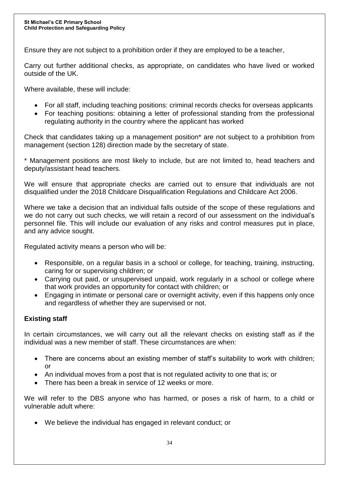Ensure they are not subject to a prohibition order if they are employed to be a teacher,

Carry out further additional checks, as appropriate, on candidates who have lived or worked outside of the UK.

Where available, these will include:

- For all staff, including teaching positions: criminal records checks for overseas applicants
- For teaching positions: obtaining a letter of professional standing from the professional regulating authority in the country where the applicant has worked

Check that candidates taking up a management position\* are not subject to a prohibition from management (section 128) direction made by the secretary of state.

\* Management positions are most likely to include, but are not limited to, head teachers and deputy/assistant head teachers.

We will ensure that appropriate checks are carried out to ensure that individuals are not disqualified under the 2018 Childcare Disqualification Regulations and Childcare Act 2006.

Where we take a decision that an individual falls outside of the scope of these regulations and we do not carry out such checks, we will retain a record of our assessment on the individual's personnel file. This will include our evaluation of any risks and control measures put in place, and any advice sought.

Regulated activity means a person who will be:

- Responsible, on a regular basis in a school or college, for teaching, training, instructing, caring for or supervising children; or
- Carrying out paid, or unsupervised unpaid, work regularly in a school or college where that work provides an opportunity for contact with children; or
- Engaging in intimate or personal care or overnight activity, even if this happens only once and regardless of whether they are supervised or not.

## **Existing staff**

In certain circumstances, we will carry out all the relevant checks on existing staff as if the individual was a new member of staff. These circumstances are when:

- There are concerns about an existing member of staff's suitability to work with children; or
- An individual moves from a post that is not regulated activity to one that is; or
- There has been a break in service of 12 weeks or more.

We will refer to the DBS anyone who has harmed, or poses a risk of harm, to a child or vulnerable adult where:

We believe the individual has engaged in relevant conduct; or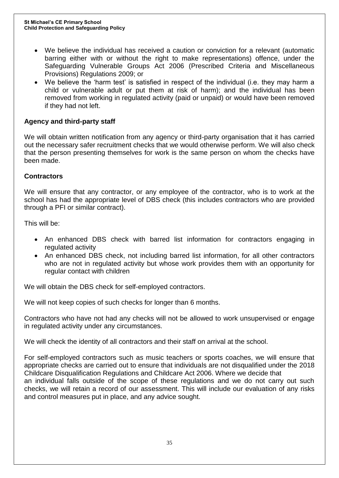- We believe the individual has received a caution or conviction for a relevant (automatic barring either with or without the right to make representations) offence, under the Safeguarding Vulnerable Groups Act 2006 (Prescribed Criteria and Miscellaneous Provisions) Regulations 2009; or
- We believe the 'harm test' is satisfied in respect of the individual (i.e. they may harm a child or vulnerable adult or put them at risk of harm); and the individual has been removed from working in regulated activity (paid or unpaid) or would have been removed if they had not left.

## **Agency and third-party staff**

We will obtain written notification from any agency or third-party organisation that it has carried out the necessary safer recruitment checks that we would otherwise perform. We will also check that the person presenting themselves for work is the same person on whom the checks have been made.

## **Contractors**

We will ensure that any contractor, or any employee of the contractor, who is to work at the school has had the appropriate level of DBS check (this includes contractors who are provided through a PFI or similar contract).

This will be:

- An enhanced DBS check with barred list information for contractors engaging in regulated activity
- An enhanced DBS check, not including barred list information, for all other contractors who are not in regulated activity but whose work provides them with an opportunity for regular contact with children

We will obtain the DBS check for self-employed contractors.

We will not keep copies of such checks for longer than 6 months.

Contractors who have not had any checks will not be allowed to work unsupervised or engage in regulated activity under any circumstances.

We will check the identity of all contractors and their staff on arrival at the school.

For self-employed contractors such as music teachers or sports coaches, we will ensure that appropriate checks are carried out to ensure that individuals are not disqualified under the 2018 Childcare Disqualification Regulations and Childcare Act 2006. Where we decide that an individual falls outside of the scope of these regulations and we do not carry out such checks, we will retain a record of our assessment. This will include our evaluation of any risks and control measures put in place, and any advice sought.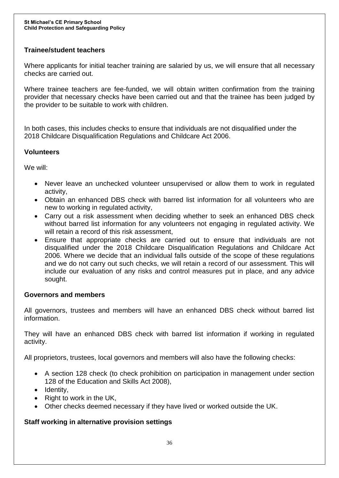## **Trainee/student teachers**

Where applicants for initial teacher training are salaried by us, we will ensure that all necessary checks are carried out.

Where trainee teachers are fee-funded, we will obtain written confirmation from the training provider that necessary checks have been carried out and that the trainee has been judged by the provider to be suitable to work with children.

In both cases, this includes checks to ensure that individuals are not disqualified under the 2018 Childcare Disqualification Regulations and Childcare Act 2006.

#### **Volunteers**

We will:

- Never leave an unchecked volunteer unsupervised or allow them to work in regulated activity,
- Obtain an enhanced DBS check with barred list information for all volunteers who are new to working in regulated activity,
- Carry out a risk assessment when deciding whether to seek an enhanced DBS check without barred list information for any volunteers not engaging in regulated activity. We will retain a record of this risk assessment,
- Ensure that appropriate checks are carried out to ensure that individuals are not disqualified under the 2018 Childcare Disqualification Regulations and Childcare Act 2006. Where we decide that an individual falls outside of the scope of these regulations and we do not carry out such checks, we will retain a record of our assessment. This will include our evaluation of any risks and control measures put in place, and any advice sought.

#### **Governors and members**

All governors, trustees and members will have an enhanced DBS check without barred list information.

They will have an enhanced DBS check with barred list information if working in regulated activity.

All proprietors, trustees, local governors and members will also have the following checks:

- A section 128 check (to check prohibition on participation in management under section 128 of the Education and Skills Act 2008),
- $\bullet$  Identity,
- Right to work in the UK,
- Other checks deemed necessary if they have lived or worked outside the UK.

#### **Staff working in alternative provision settings**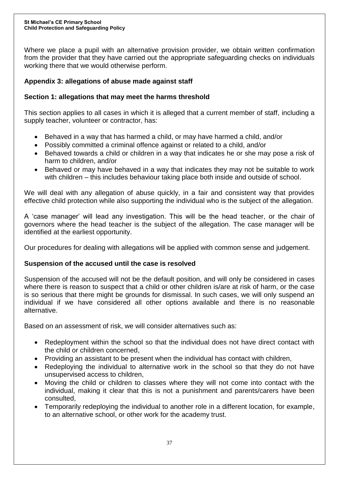Where we place a pupil with an alternative provision provider, we obtain written confirmation from the provider that they have carried out the appropriate safeguarding checks on individuals working there that we would otherwise perform.

## **Appendix 3: allegations of abuse made against staff**

## **Section 1: allegations that may meet the harms threshold**

This section applies to all cases in which it is alleged that a current member of staff, including a supply teacher, volunteer or contractor, has:

- Behaved in a way that has harmed a child, or may have harmed a child, and/or
- Possibly committed a criminal offence against or related to a child, and/or
- Behaved towards a child or children in a way that indicates he or she may pose a risk of harm to children, and/or
- Behaved or may have behaved in a way that indicates they may not be suitable to work with children – this includes behaviour taking place both inside and outside of school.

We will deal with any allegation of abuse quickly, in a fair and consistent way that provides effective child protection while also supporting the individual who is the subject of the allegation.

A 'case manager' will lead any investigation. This will be the head teacher, or the chair of governors where the head teacher is the subject of the allegation. The case manager will be identified at the earliest opportunity.

Our procedures for dealing with allegations will be applied with common sense and judgement.

## **Suspension of the accused until the case is resolved**

Suspension of the accused will not be the default position, and will only be considered in cases where there is reason to suspect that a child or other children is/are at risk of harm, or the case is so serious that there might be grounds for dismissal. In such cases, we will only suspend an individual if we have considered all other options available and there is no reasonable alternative.

Based on an assessment of risk, we will consider alternatives such as:

- Redeployment within the school so that the individual does not have direct contact with the child or children concerned,
- Providing an assistant to be present when the individual has contact with children,
- Redeploying the individual to alternative work in the school so that they do not have unsupervised access to children,
- Moving the child or children to classes where they will not come into contact with the individual, making it clear that this is not a punishment and parents/carers have been consulted,
- Temporarily redeploying the individual to another role in a different location, for example, to an alternative school, or other work for the academy trust.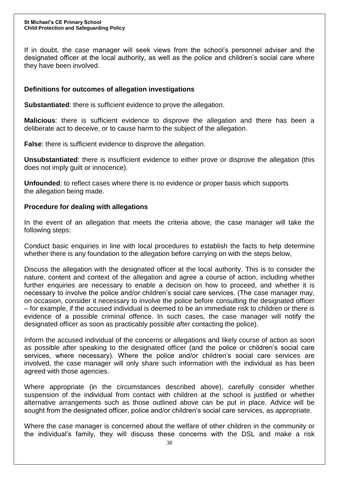If in doubt, the case manager will seek views from the school's personnel adviser and the designated officer at the local authority, as well as the police and children's social care where they have been involved.

### **Definitions for outcomes of allegation investigations**

**Substantiated**: there is sufficient evidence to prove the allegation.

**Malicious**: there is sufficient evidence to disprove the allegation and there has been a deliberate act to deceive, or to cause harm to the subject of the allegation.

**False**: there is sufficient evidence to disprove the allegation.

**Unsubstantiated**: there is insufficient evidence to either prove or disprove the allegation (this does not imply guilt or innocence).

**Unfounded**: to reflect cases where there is no evidence or proper basis which supports the allegation being made.

#### **Procedure for dealing with allegations**

In the event of an allegation that meets the criteria above, the case manager will take the following steps:

Conduct basic enquiries in line with local procedures to establish the facts to help determine whether there is any foundation to the allegation before carrying on with the steps below,

Discuss the allegation with the designated officer at the local authority. This is to consider the nature, content and context of the allegation and agree a course of action, including whether further enquiries are necessary to enable a decision on how to proceed, and whether it is necessary to involve the police and/or children's social care services. (The case manager may, on occasion, consider it necessary to involve the police before consulting the designated officer – for example, if the accused individual is deemed to be an immediate risk to children or there is evidence of a possible criminal offence. In such cases, the case manager will notify the designated officer as soon as practicably possible after contacting the police).

Inform the accused individual of the concerns or allegations and likely course of action as soon as possible after speaking to the designated officer (and the police or children's social care services, where necessary). Where the police and/or children's social care services are involved, the case manager will only share such information with the individual as has been agreed with those agencies.

Where appropriate (in the circumstances described above), carefully consider whether suspension of the individual from contact with children at the school is justified or whether alternative arrangements such as those outlined above can be put in place. Advice will be sought from the designated officer, police and/or children's social care services, as appropriate.

Where the case manager is concerned about the welfare of other children in the community or the individual's family, they will discuss these concerns with the DSL and make a risk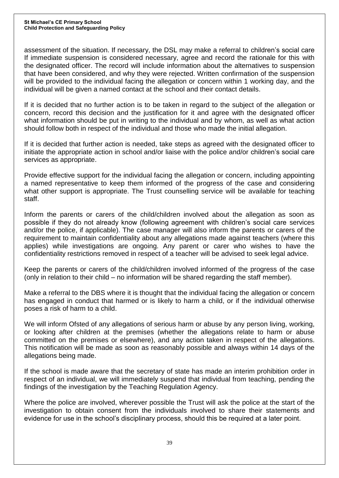assessment of the situation. If necessary, the DSL may make a referral to children's social care If immediate suspension is considered necessary, agree and record the rationale for this with the designated officer. The record will include information about the alternatives to suspension that have been considered, and why they were rejected. Written confirmation of the suspension will be provided to the individual facing the allegation or concern within 1 working day, and the individual will be given a named contact at the school and their contact details.

If it is decided that no further action is to be taken in regard to the subject of the allegation or concern, record this decision and the justification for it and agree with the designated officer what information should be put in writing to the individual and by whom, as well as what action should follow both in respect of the individual and those who made the initial allegation.

If it is decided that further action is needed, take steps as agreed with the designated officer to initiate the appropriate action in school and/or liaise with the police and/or children's social care services as appropriate.

Provide effective support for the individual facing the allegation or concern, including appointing a named representative to keep them informed of the progress of the case and considering what other support is appropriate. The Trust counselling service will be available for teaching staff.

Inform the parents or carers of the child/children involved about the allegation as soon as possible if they do not already know (following agreement with children's social care services and/or the police, if applicable). The case manager will also inform the parents or carers of the requirement to maintain confidentiality about any allegations made against teachers (where this applies) while investigations are ongoing. Any parent or carer who wishes to have the confidentiality restrictions removed in respect of a teacher will be advised to seek legal advice.

Keep the parents or carers of the child/children involved informed of the progress of the case (only in relation to their child – no information will be shared regarding the staff member).

Make a referral to the DBS where it is thought that the individual facing the allegation or concern has engaged in conduct that harmed or is likely to harm a child, or if the individual otherwise poses a risk of harm to a child.

We will inform Ofsted of any allegations of serious harm or abuse by any person living, working, or looking after children at the premises (whether the allegations relate to harm or abuse committed on the premises or elsewhere), and any action taken in respect of the allegations. This notification will be made as soon as reasonably possible and always within 14 days of the allegations being made.

If the school is made aware that the secretary of state has made an interim prohibition order in respect of an individual, we will immediately suspend that individual from teaching, pending the findings of the investigation by the Teaching Regulation Agency.

Where the police are involved, wherever possible the Trust will ask the police at the start of the investigation to obtain consent from the individuals involved to share their statements and evidence for use in the school's disciplinary process, should this be required at a later point.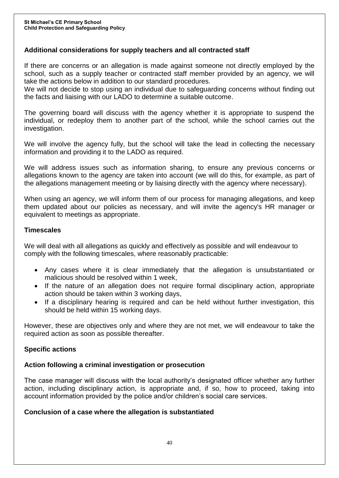## **Additional considerations for supply teachers and all contracted staff**

If there are concerns or an allegation is made against someone not directly employed by the school, such as a supply teacher or contracted staff member provided by an agency, we will take the actions below in addition to our standard procedures.

We will not decide to stop using an individual due to safeguarding concerns without finding out the facts and liaising with our LADO to determine a suitable outcome.

The governing board will discuss with the agency whether it is appropriate to suspend the individual, or redeploy them to another part of the school, while the school carries out the investigation.

We will involve the agency fully, but the school will take the lead in collecting the necessary information and providing it to the LADO as required.

We will address issues such as information sharing, to ensure any previous concerns or allegations known to the agency are taken into account (we will do this, for example, as part of the allegations management meeting or by liaising directly with the agency where necessary).

When using an agency, we will inform them of our process for managing allegations, and keep them updated about our policies as necessary, and will invite the agency's HR manager or equivalent to meetings as appropriate.

#### **Timescales**

We will deal with all allegations as quickly and effectively as possible and will endeavour to comply with the following timescales, where reasonably practicable:

- Any cases where it is clear immediately that the allegation is unsubstantiated or malicious should be resolved within 1 week,
- If the nature of an allegation does not require formal disciplinary action, appropriate action should be taken within 3 working days,
- If a disciplinary hearing is required and can be held without further investigation, this should be held within 15 working days.

However, these are objectives only and where they are not met, we will endeavour to take the required action as soon as possible thereafter.

#### **Specific actions**

#### **Action following a criminal investigation or prosecution**

The case manager will discuss with the local authority's designated officer whether any further action, including disciplinary action, is appropriate and, if so, how to proceed, taking into account information provided by the police and/or children's social care services.

#### **Conclusion of a case where the allegation is substantiated**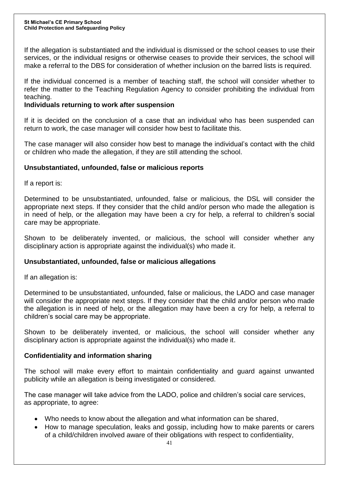If the allegation is substantiated and the individual is dismissed or the school ceases to use their services, or the individual resigns or otherwise ceases to provide their services, the school will make a referral to the DBS for consideration of whether inclusion on the barred lists is required.

If the individual concerned is a member of teaching staff, the school will consider whether to refer the matter to the Teaching Regulation Agency to consider prohibiting the individual from teaching.

#### **Individuals returning to work after suspension**

If it is decided on the conclusion of a case that an individual who has been suspended can return to work, the case manager will consider how best to facilitate this.

The case manager will also consider how best to manage the individual's contact with the child or children who made the allegation, if they are still attending the school.

#### **Unsubstantiated, unfounded, false or malicious reports**

If a report is:

Determined to be unsubstantiated, unfounded, false or malicious, the DSL will consider the appropriate next steps. If they consider that the child and/or person who made the allegation is in need of help, or the allegation may have been a cry for help, a referral to children's social care may be appropriate.

Shown to be deliberately invented, or malicious, the school will consider whether any disciplinary action is appropriate against the individual(s) who made it.

#### **Unsubstantiated, unfounded, false or malicious allegations**

If an allegation is:

Determined to be unsubstantiated, unfounded, false or malicious, the LADO and case manager will consider the appropriate next steps. If they consider that the child and/or person who made the allegation is in need of help, or the allegation may have been a cry for help, a referral to children's social care may be appropriate.

Shown to be deliberately invented, or malicious, the school will consider whether any disciplinary action is appropriate against the individual(s) who made it.

#### **Confidentiality and information sharing**

The school will make every effort to maintain confidentiality and guard against unwanted publicity while an allegation is being investigated or considered.

The case manager will take advice from the LADO, police and children's social care services, as appropriate, to agree:

- Who needs to know about the allegation and what information can be shared,
- How to manage speculation, leaks and gossip, including how to make parents or carers of a child/children involved aware of their obligations with respect to confidentiality,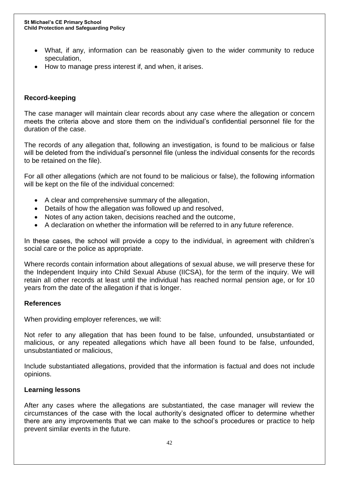- What, if any, information can be reasonably given to the wider community to reduce speculation,
- How to manage press interest if, and when, it arises.

#### **Record-keeping**

The case manager will maintain clear records about any case where the allegation or concern meets the criteria above and store them on the individual's confidential personnel file for the duration of the case.

The records of any allegation that, following an investigation, is found to be malicious or false will be deleted from the individual's personnel file (unless the individual consents for the records to be retained on the file).

For all other allegations (which are not found to be malicious or false), the following information will be kept on the file of the individual concerned:

- A clear and comprehensive summary of the allegation,
- Details of how the allegation was followed up and resolved,
- Notes of any action taken, decisions reached and the outcome,
- A declaration on whether the information will be referred to in any future reference.

In these cases, the school will provide a copy to the individual, in agreement with children's social care or the police as appropriate.

Where records contain information about allegations of sexual abuse, we will preserve these for the Independent Inquiry into Child Sexual Abuse (IICSA), for the term of the inquiry. We will retain all other records at least until the individual has reached normal pension age, or for 10 years from the date of the allegation if that is longer.

#### **References**

When providing employer references, we will:

Not refer to any allegation that has been found to be false, unfounded, unsubstantiated or malicious, or any repeated allegations which have all been found to be false, unfounded, unsubstantiated or malicious,

Include substantiated allegations, provided that the information is factual and does not include opinions.

#### **Learning lessons**

After any cases where the allegations are substantiated, the case manager will review the circumstances of the case with the local authority's designated officer to determine whether there are any improvements that we can make to the school's procedures or practice to help prevent similar events in the future.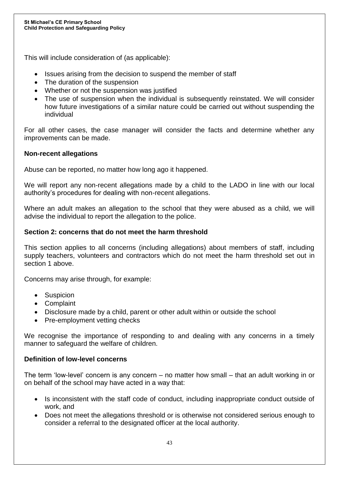This will include consideration of (as applicable):

- Issues arising from the decision to suspend the member of staff
- The duration of the suspension
- Whether or not the suspension was justified
- The use of suspension when the individual is subsequently reinstated. We will consider how future investigations of a similar nature could be carried out without suspending the individual

For all other cases, the case manager will consider the facts and determine whether any improvements can be made.

## **Non-recent allegations**

Abuse can be reported, no matter how long ago it happened.

We will report any non-recent allegations made by a child to the LADO in line with our local authority's procedures for dealing with non-recent allegations.

Where an adult makes an allegation to the school that they were abused as a child, we will advise the individual to report the allegation to the police.

## **Section 2: concerns that do not meet the harm threshold**

This section applies to all concerns (including allegations) about members of staff, including supply teachers, volunteers and contractors which do not meet the harm threshold set out in section 1 above.

Concerns may arise through, for example:

- Suspicion
- Complaint
- Disclosure made by a child, parent or other adult within or outside the school
- Pre-employment vetting checks

We recognise the importance of responding to and dealing with any concerns in a timely manner to safeguard the welfare of children.

#### **Definition of low-level concerns**

The term 'low-level' concern is any concern – no matter how small – that an adult working in or on behalf of the school may have acted in a way that:

- Is inconsistent with the staff code of conduct, including inappropriate conduct outside of work, and
- Does not meet the allegations threshold or is otherwise not considered serious enough to consider a referral to the designated officer at the local authority.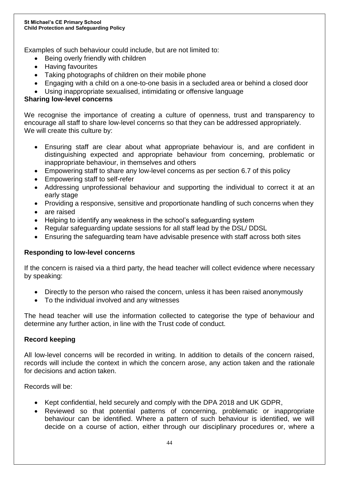Examples of such behaviour could include, but are not limited to:

- Being overly friendly with children
- Having favourites
- Taking photographs of children on their mobile phone
- Engaging with a child on a one-to-one basis in a secluded area or behind a closed door
- Using inappropriate sexualised, intimidating or offensive language

### **Sharing low-level concerns**

We recognise the importance of creating a culture of openness, trust and transparency to encourage all staff to share low-level concerns so that they can be addressed appropriately. We will create this culture by:

- Ensuring staff are clear about what appropriate behaviour is, and are confident in distinguishing expected and appropriate behaviour from concerning, problematic or inappropriate behaviour, in themselves and others
- Empowering staff to share any low-level concerns as per section 6.7 of this policy
- Empowering staff to self-refer
- Addressing unprofessional behaviour and supporting the individual to correct it at an early stage
- Providing a responsive, sensitive and proportionate handling of such concerns when they
- are raised
- Helping to identify any weakness in the school's safeguarding system
- Regular safeguarding update sessions for all staff lead by the DSL/ DDSL
- Ensuring the safeguarding team have advisable presence with staff across both sites

#### **Responding to low-level concerns**

If the concern is raised via a third party, the head teacher will collect evidence where necessary by speaking:

- Directly to the person who raised the concern, unless it has been raised anonymously
- To the individual involved and any witnesses

The head teacher will use the information collected to categorise the type of behaviour and determine any further action, in line with the Trust code of conduct.

#### **Record keeping**

All low-level concerns will be recorded in writing. In addition to details of the concern raised, records will include the context in which the concern arose, any action taken and the rationale for decisions and action taken.

Records will be:

- Kept confidential, held securely and comply with the DPA 2018 and UK GDPR,
- Reviewed so that potential patterns of concerning, problematic or inappropriate behaviour can be identified. Where a pattern of such behaviour is identified, we will decide on a course of action, either through our disciplinary procedures or, where a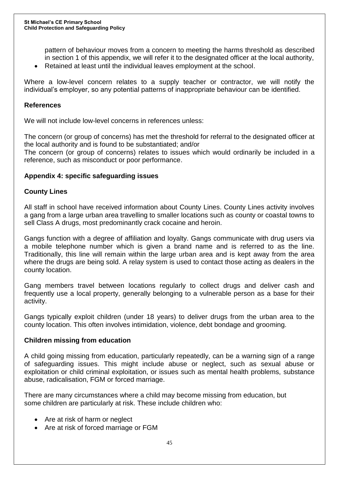pattern of behaviour moves from a concern to meeting the harms threshold as described in section 1 of this appendix, we will refer it to the designated officer at the local authority,

Retained at least until the individual leaves employment at the school.

Where a low-level concern relates to a supply teacher or contractor, we will notify the individual's employer, so any potential patterns of inappropriate behaviour can be identified.

#### **References**

We will not include low-level concerns in references unless:

The concern (or group of concerns) has met the threshold for referral to the designated officer at the local authority and is found to be substantiated; and/or

The concern (or group of concerns) relates to issues which would ordinarily be included in a reference, such as misconduct or poor performance.

#### **Appendix 4: specific safeguarding issues**

#### **County Lines**

All staff in school have received information about County Lines. County Lines activity involves a gang from a large urban area travelling to smaller locations such as county or coastal towns to sell Class A drugs, most predominantly crack cocaine and heroin.

Gangs function with a degree of affiliation and loyalty. Gangs communicate with drug users via a mobile telephone number which is given a brand name and is referred to as the line. Traditionally, this line will remain within the large urban area and is kept away from the area where the drugs are being sold. A relay system is used to contact those acting as dealers in the county location.

Gang members travel between locations regularly to collect drugs and deliver cash and frequently use a local property, generally belonging to a vulnerable person as a base for their activity.

Gangs typically exploit children (under 18 years) to deliver drugs from the urban area to the county location. This often involves intimidation, violence, debt bondage and grooming.

#### **Children missing from education**

A child going missing from education, particularly repeatedly, can be a warning sign of a range of safeguarding issues. This might include abuse or neglect, such as sexual abuse or exploitation or child criminal exploitation, or issues such as mental health problems, substance abuse, radicalisation, FGM or forced marriage.

There are many circumstances where a child may become missing from education, but some children are particularly at risk. These include children who:

- Are at risk of harm or neglect
- Are at risk of forced marriage or FGM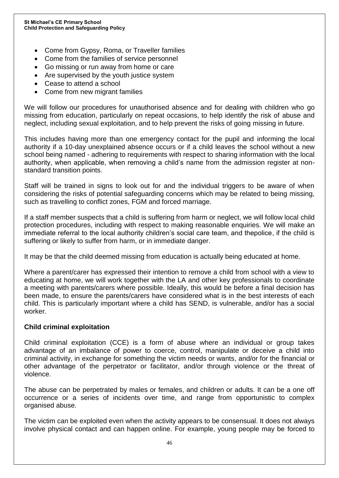- Come from Gypsy, Roma, or Traveller families
- Come from the families of service personnel
- Go missing or run away from home or care
- Are supervised by the youth justice system
- Cease to attend a school
- Come from new migrant families

We will follow our procedures for unauthorised absence and for dealing with children who go missing from education, particularly on repeat occasions, to help identify the risk of abuse and neglect, including sexual exploitation, and to help prevent the risks of going missing in future.

This includes having more than one emergency contact for the pupil and informing the local authority if a 10-day unexplained absence occurs or if a child leaves the school without a new school being named - adhering to requirements with respect to sharing information with the local authority, when applicable, when removing a child's name from the admission register at nonstandard transition points.

Staff will be trained in signs to look out for and the individual triggers to be aware of when considering the risks of potential safeguarding concerns which may be related to being missing, such as travelling to conflict zones, FGM and forced marriage.

If a staff member suspects that a child is suffering from harm or neglect, we will follow local child protection procedures, including with respect to making reasonable enquiries. We will make an immediate referral to the local authority children's social care team, and thepolice, if the child is suffering or likely to suffer from harm, or in immediate danger.

It may be that the child deemed missing from education is actually being educated at home.

Where a parent/carer has expressed their intention to remove a child from school with a view to educating at home, we will work together with the LA and other key professionals to coordinate a meeting with parents/carers where possible. Ideally, this would be before a final decision has been made, to ensure the parents/carers have considered what is in the best interests of each child. This is particularly important where a child has SEND, is vulnerable, and/or has a social worker.

#### **Child criminal exploitation**

Child criminal exploitation (CCE) is a form of abuse where an individual or group takes advantage of an imbalance of power to coerce, control, manipulate or deceive a child into criminal activity, in exchange for something the victim needs or wants, and/or for the financial or other advantage of the perpetrator or facilitator, and/or through violence or the threat of violence.

The abuse can be perpetrated by males or females, and children or adults. It can be a one off occurrence or a series of incidents over time, and range from opportunistic to complex organised abuse.

The victim can be exploited even when the activity appears to be consensual. It does not always involve physical contact and can happen online. For example, young people may be forced to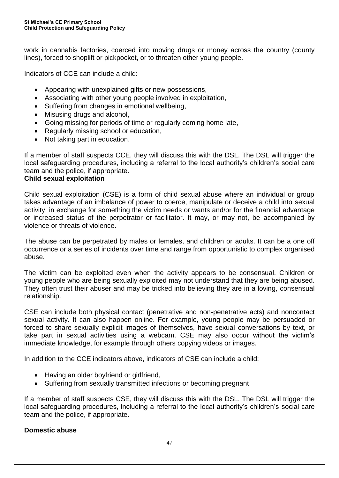work in cannabis factories, coerced into moving drugs or money across the country (county lines), forced to shoplift or pickpocket, or to threaten other young people.

Indicators of CCE can include a child:

- Appearing with unexplained gifts or new possessions,
- Associating with other young people involved in exploitation,
- Suffering from changes in emotional wellbeing,
- Misusing drugs and alcohol,
- Going missing for periods of time or regularly coming home late,
- Regularly missing school or education,
- Not taking part in education.

If a member of staff suspects CCE, they will discuss this with the DSL. The DSL will trigger the local safeguarding procedures, including a referral to the local authority's children's social care team and the police, if appropriate.

#### **Child sexual exploitation**

Child sexual exploitation (CSE) is a form of child sexual abuse where an individual or group takes advantage of an imbalance of power to coerce, manipulate or deceive a child into sexual activity, in exchange for something the victim needs or wants and/or for the financial advantage or increased status of the perpetrator or facilitator. It may, or may not, be accompanied by violence or threats of violence.

The abuse can be perpetrated by males or females, and children or adults. It can be a one off occurrence or a series of incidents over time and range from opportunistic to complex organised abuse.

The victim can be exploited even when the activity appears to be consensual. Children or young people who are being sexually exploited may not understand that they are being abused. They often trust their abuser and may be tricked into believing they are in a loving, consensual relationship.

CSE can include both physical contact (penetrative and non-penetrative acts) and noncontact sexual activity. It can also happen online. For example, young people may be persuaded or forced to share sexually explicit images of themselves, have sexual conversations by text, or take part in sexual activities using a webcam. CSE may also occur without the victim's immediate knowledge, for example through others copying videos or images.

In addition to the CCE indicators above, indicators of CSE can include a child:

- Having an older boyfriend or girlfriend,
- Suffering from sexually transmitted infections or becoming pregnant

If a member of staff suspects CSE, they will discuss this with the DSL. The DSL will trigger the local safeguarding procedures, including a referral to the local authority's children's social care team and the police, if appropriate.

#### **Domestic abuse**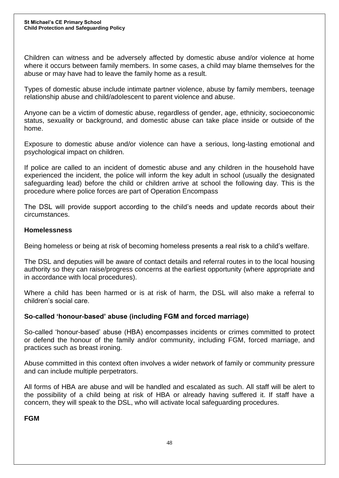Children can witness and be adversely affected by domestic abuse and/or violence at home where it occurs between family members. In some cases, a child may blame themselves for the abuse or may have had to leave the family home as a result.

Types of domestic abuse include intimate partner violence, abuse by family members, teenage relationship abuse and child/adolescent to parent violence and abuse.

Anyone can be a victim of domestic abuse, regardless of gender, age, ethnicity, socioeconomic status, sexuality or background, and domestic abuse can take place inside or outside of the home.

Exposure to domestic abuse and/or violence can have a serious, long-lasting emotional and psychological impact on children.

If police are called to an incident of domestic abuse and any children in the household have experienced the incident, the police will inform the key adult in school (usually the designated safeguarding lead) before the child or children arrive at school the following day. This is the procedure where police forces are part of Operation Encompass

The DSL will provide support according to the child's needs and update records about their circumstances.

## **Homelessness**

Being homeless or being at risk of becoming homeless presents a real risk to a child's welfare.

The DSL and deputies will be aware of contact details and referral routes in to the local housing authority so they can raise/progress concerns at the earliest opportunity (where appropriate and in accordance with local procedures).

Where a child has been harmed or is at risk of harm, the DSL will also make a referral to children's social care.

## **So-called 'honour-based' abuse (including FGM and forced marriage)**

So-called 'honour-based' abuse (HBA) encompasses incidents or crimes committed to protect or defend the honour of the family and/or community, including FGM, forced marriage, and practices such as breast ironing.

Abuse committed in this context often involves a wider network of family or community pressure and can include multiple perpetrators.

All forms of HBA are abuse and will be handled and escalated as such. All staff will be alert to the possibility of a child being at risk of HBA or already having suffered it. If staff have a concern, they will speak to the DSL, who will activate local safeguarding procedures.

**FGM**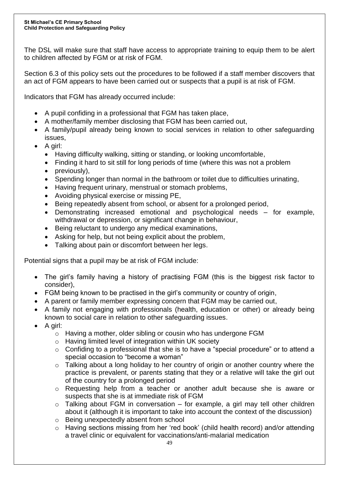The DSL will make sure that staff have access to appropriate training to equip them to be alert to children affected by FGM or at risk of FGM.

Section 6.3 of this policy sets out the procedures to be followed if a staff member discovers that an act of FGM appears to have been carried out or suspects that a pupil is at risk of FGM.

Indicators that FGM has already occurred include:

- A pupil confiding in a professional that FGM has taken place,
- A mother/family member disclosing that FGM has been carried out,
- A family/pupil already being known to social services in relation to other safeguarding issues,
- $\bullet$  A girl:
	- Having difficulty walking, sitting or standing, or looking uncomfortable,
	- Finding it hard to sit still for long periods of time (where this was not a problem
	- previously),
	- Spending longer than normal in the bathroom or toilet due to difficulties urinating,
	- Having frequent urinary, menstrual or stomach problems,
	- Avoiding physical exercise or missing PE,
	- Being repeatedly absent from school, or absent for a prolonged period,
	- Demonstrating increased emotional and psychological needs for example, withdrawal or depression, or significant change in behaviour,
	- Being reluctant to undergo any medical examinations,
	- Asking for help, but not being explicit about the problem,
	- Talking about pain or discomfort between her legs.

Potential signs that a pupil may be at risk of FGM include:

- The girl's family having a history of practising FGM (this is the biggest risk factor to consider),
- FGM being known to be practised in the girl's community or country of origin,
- A parent or family member expressing concern that FGM may be carried out,
- A family not engaging with professionals (health, education or other) or already being known to social care in relation to other safeguarding issues.
- A girl:
	- o Having a mother, older sibling or cousin who has undergone FGM
	- o Having limited level of integration within UK society
	- o Confiding to a professional that she is to have a "special procedure" or to attend a special occasion to "become a woman"
	- o Talking about a long holiday to her country of origin or another country where the practice is prevalent, or parents stating that they or a relative will take the girl out of the country for a prolonged period
	- o Requesting help from a teacher or another adult because she is aware or suspects that she is at immediate risk of FGM
	- o Talking about FGM in conversation for example, a girl may tell other children about it (although it is important to take into account the context of the discussion)
	- o Being unexpectedly absent from school
	- o Having sections missing from her 'red book' (child health record) and/or attending a travel clinic or equivalent for vaccinations/anti-malarial medication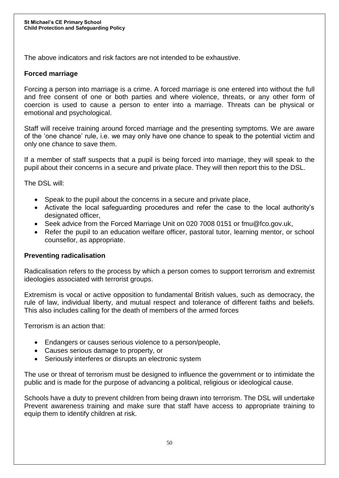The above indicators and risk factors are not intended to be exhaustive.

## **Forced marriage**

Forcing a person into marriage is a crime. A forced marriage is one entered into without the full and free consent of one or both parties and where violence, threats, or any other form of coercion is used to cause a person to enter into a marriage. Threats can be physical or emotional and psychological.

Staff will receive training around forced marriage and the presenting symptoms. We are aware of the 'one chance' rule, i.e. we may only have one chance to speak to the potential victim and only one chance to save them.

If a member of staff suspects that a pupil is being forced into marriage, they will speak to the pupil about their concerns in a secure and private place. They will then report this to the DSL.

The DSL will:

- Speak to the pupil about the concerns in a secure and private place,
- Activate the local safeguarding procedures and refer the case to the local authority's designated officer,
- Seek advice from the Forced Marriage Unit on 020 7008 0151 or fmu@fco.gov.uk,
- Refer the pupil to an education welfare officer, pastoral tutor, learning mentor, or school counsellor, as appropriate.

#### **Preventing radicalisation**

Radicalisation refers to the process by which a person comes to support terrorism and extremist ideologies associated with terrorist groups.

Extremism is vocal or active opposition to fundamental British values, such as democracy, the rule of law, individual liberty, and mutual respect and tolerance of different faiths and beliefs. This also includes calling for the death of members of the armed forces

Terrorism is an action that:

- Endangers or causes serious violence to a person/people,
- Causes serious damage to property, or
- Seriously interferes or disrupts an electronic system

The use or threat of terrorism must be designed to influence the government or to intimidate the public and is made for the purpose of advancing a political, religious or ideological cause.

Schools have a duty to prevent children from being drawn into terrorism. The DSL will undertake Prevent awareness training and make sure that staff have access to appropriate training to equip them to identify children at risk.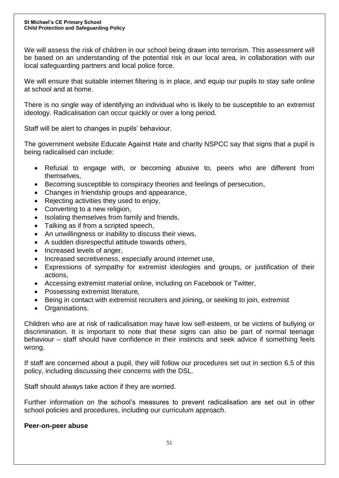We will assess the risk of children in our school being drawn into terrorism. This assessment will be based on an understanding of the potential risk in our local area, in collaboration with our local safeguarding partners and local police force.

We will ensure that suitable internet filtering is in place, and equip our pupils to stay safe online at school and at home.

There is no single way of identifying an individual who is likely to be susceptible to an extremist ideology. Radicalisation can occur quickly or over a long period.

Staff will be alert to changes in pupils' behaviour.

The government website Educate Against Hate and charity NSPCC say that signs that a pupil is being radicalised can include:

- Refusal to engage with, or becoming abusive to, peers who are different from themselves,
- Becoming susceptible to conspiracy theories and feelings of persecution,
- Changes in friendship groups and appearance,
- Rejecting activities they used to enjoy,
- Converting to a new religion,
- Isolating themselves from family and friends,
- Talking as if from a scripted speech,
- An unwillingness or inability to discuss their views,
- A sudden disrespectful attitude towards others,
- Increased levels of anger,
- Increased secretiveness, especially around internet use,
- Expressions of sympathy for extremist ideologies and groups, or justification of their actions,
- Accessing extremist material online, including on Facebook or Twitter,
- Possessing extremist literature,
- Being in contact with extremist recruiters and joining, or seeking to join, extremist
- Organisations.

Children who are at risk of radicalisation may have low self-esteem, or be victims of bullying or discrimination. It is important to note that these signs can also be part of normal teenage behaviour – staff should have confidence in their instincts and seek advice if something feels wrong.

If staff are concerned about a pupil, they will follow our procedures set out in section 6.5 of this policy, including discussing their concerns with the DSL.

Staff should always take action if they are worried.

Further information on the school's measures to prevent radicalisation are set out in other school policies and procedures, including our curriculum approach.

#### **Peer-on-peer abuse**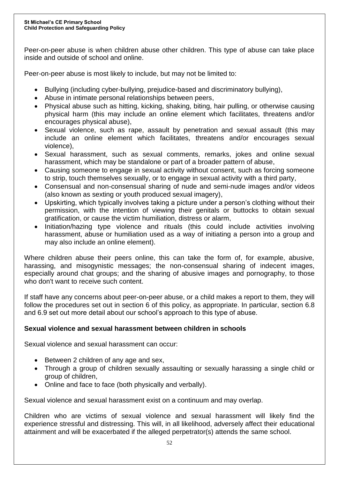Peer-on-peer abuse is when children abuse other children. This type of abuse can take place inside and outside of school and online.

Peer-on-peer abuse is most likely to include, but may not be limited to:

- Bullying (including cyber-bullying, prejudice-based and discriminatory bullying),
- Abuse in intimate personal relationships between peers,
- Physical abuse such as hitting, kicking, shaking, biting, hair pulling, or otherwise causing physical harm (this may include an online element which facilitates, threatens and/or encourages physical abuse),
- Sexual violence, such as rape, assault by penetration and sexual assault (this may include an online element which facilitates, threatens and/or encourages sexual violence),
- Sexual harassment, such as sexual comments, remarks, jokes and online sexual harassment, which may be standalone or part of a broader pattern of abuse,
- Causing someone to engage in sexual activity without consent, such as forcing someone to strip, touch themselves sexually, or to engage in sexual activity with a third party,
- Consensual and non-consensual sharing of nude and semi-nude images and/or videos (also known as sexting or youth produced sexual imagery),
- Upskirting, which typically involves taking a picture under a person's clothing without their permission, with the intention of viewing their genitals or buttocks to obtain sexual gratification, or cause the victim humiliation, distress or alarm,
- Initiation/hazing type violence and rituals (this could include activities involving harassment, abuse or humiliation used as a way of initiating a person into a group and may also include an online element).

Where children abuse their peers online, this can take the form of, for example, abusive, harassing, and misogynistic messages; the non-consensual sharing of indecent images, especially around chat groups; and the sharing of abusive images and pornography, to those who don't want to receive such content.

If staff have any concerns about peer-on-peer abuse, or a child makes a report to them, they will follow the procedures set out in section 6 of this policy, as appropriate. In particular, section 6.8 and 6.9 set out more detail about our school's approach to this type of abuse.

## **Sexual violence and sexual harassment between children in schools**

Sexual violence and sexual harassment can occur:

- Between 2 children of any age and sex,
- Through a group of children sexually assaulting or sexually harassing a single child or group of children,
- Online and face to face (both physically and verbally).

Sexual violence and sexual harassment exist on a continuum and may overlap.

Children who are victims of sexual violence and sexual harassment will likely find the experience stressful and distressing. This will, in all likelihood, adversely affect their educational attainment and will be exacerbated if the alleged perpetrator(s) attends the same school.